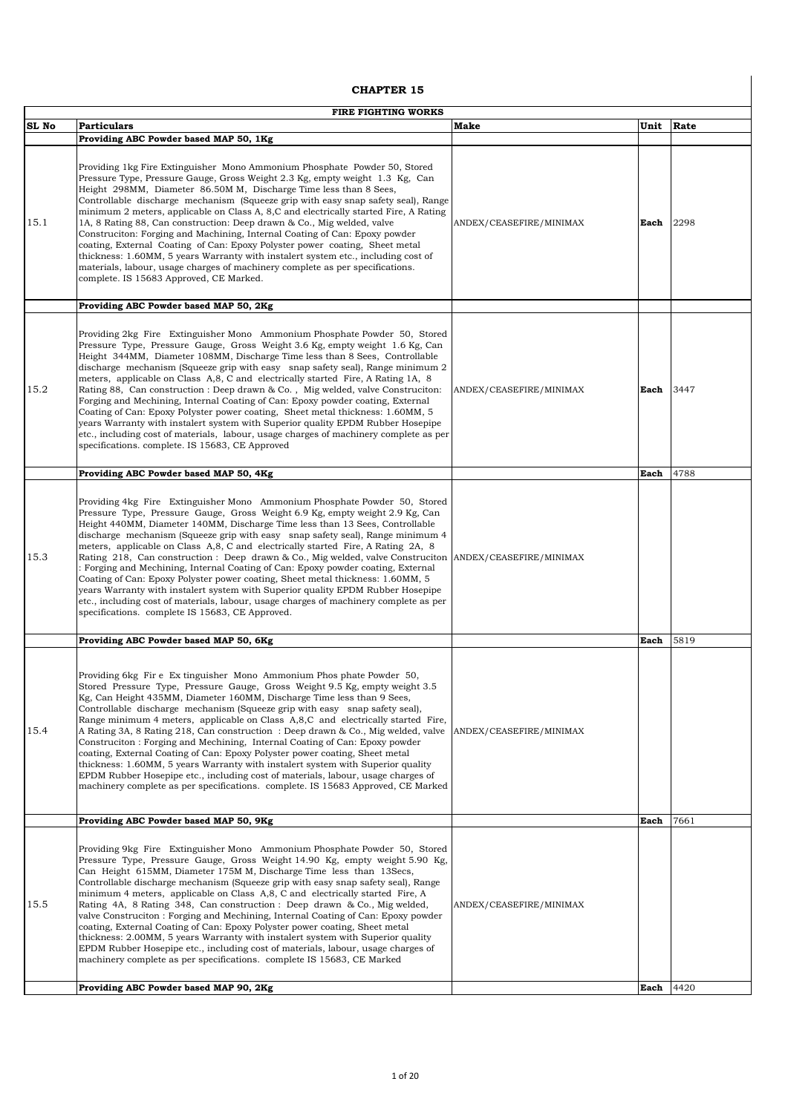## **CHAPTER 15**

|       | <b>FIRE FIGHTING WORKS</b>                                                                                                                                                                                                                                                                                                                                                                                                                                                                                                                                                                                                                                                                                                                                                                                                                                                                                                                       |                         |      |      |  |
|-------|--------------------------------------------------------------------------------------------------------------------------------------------------------------------------------------------------------------------------------------------------------------------------------------------------------------------------------------------------------------------------------------------------------------------------------------------------------------------------------------------------------------------------------------------------------------------------------------------------------------------------------------------------------------------------------------------------------------------------------------------------------------------------------------------------------------------------------------------------------------------------------------------------------------------------------------------------|-------------------------|------|------|--|
| SL No | <b>Particulars</b>                                                                                                                                                                                                                                                                                                                                                                                                                                                                                                                                                                                                                                                                                                                                                                                                                                                                                                                               | <b>Make</b>             | Unit | Rate |  |
|       | Providing ABC Powder based MAP 50, 1Kg                                                                                                                                                                                                                                                                                                                                                                                                                                                                                                                                                                                                                                                                                                                                                                                                                                                                                                           |                         |      |      |  |
| 15.1  | Providing 1kg Fire Extinguisher Mono Ammonium Phosphate Powder 50, Stored<br>Pressure Type, Pressure Gauge, Gross Weight 2.3 Kg, empty weight 1.3 Kg, Can<br>Height 298MM, Diameter 86.50M M, Discharge Time less than 8 Sees,<br>Controllable discharge mechanism (Squeeze grip with easy snap safety seal), Range<br>minimum 2 meters, applicable on Class A, 8, C and electrically started Fire, A Rating<br>1A, 8 Rating 88, Can construction: Deep drawn & Co., Mig welded, valve<br>Construciton: Forging and Machining, Internal Coating of Can: Epoxy powder<br>coating, External Coating of Can: Epoxy Polyster power coating, Sheet metal<br>thickness: 1.60MM, 5 years Warranty with instalert system etc., including cost of<br>materials, labour, usage charges of machinery complete as per specifications.<br>complete. IS 15683 Approved, CE Marked.                                                                             | ANDEX/CEASEFIRE/MINIMAX | Each | 2298 |  |
|       | Providing ABC Powder based MAP 50, 2Kg                                                                                                                                                                                                                                                                                                                                                                                                                                                                                                                                                                                                                                                                                                                                                                                                                                                                                                           |                         |      |      |  |
| 15.2  | Providing 2kg Fire Extinguisher Mono Ammonium Phosphate Powder 50, Stored<br>Pressure Type, Pressure Gauge, Gross Weight 3.6 Kg, empty weight 1.6 Kg, Can<br>Height 344MM, Diameter 108MM, Discharge Time less than 8 Sees, Controllable<br>discharge mechanism (Squeeze grip with easy snap safety seal), Range minimum 2<br>meters, applicable on Class A,8, C and electrically started Fire, A Rating 1A, 8<br>Rating 88, Can construction : Deep drawn & Co., Mig welded, valve Construciton:<br>Forging and Mechining, Internal Coating of Can: Epoxy powder coating, External<br>Coating of Can: Epoxy Polyster power coating, Sheet metal thickness: 1.60MM, 5<br>years Warranty with instalert system with Superior quality EPDM Rubber Hosepipe<br>etc., including cost of materials, labour, usage charges of machinery complete as per<br>specifications. complete. IS 15683, CE Approved                                             | ANDEX/CEASEFIRE/MINIMAX | Each | 3447 |  |
|       | Providing ABC Powder based MAP 50, 4Kg                                                                                                                                                                                                                                                                                                                                                                                                                                                                                                                                                                                                                                                                                                                                                                                                                                                                                                           |                         | Each | 4788 |  |
| 15.3  | Providing 4kg Fire Extinguisher Mono Ammonium Phosphate Powder 50, Stored<br>Pressure Type, Pressure Gauge, Gross Weight 6.9 Kg, empty weight 2.9 Kg, Can<br>Height 440MM, Diameter 140MM, Discharge Time less than 13 Sees, Controllable<br>discharge mechanism (Squeeze grip with easy snap safety seal), Range minimum 4<br>meters, applicable on Class A, 8, C and electrically started Fire, A Rating 2A, 8<br>Rating 218, Can construction : Deep drawn & Co., Mig welded, valve Construction ANDEX/CEASEFIRE/MINIMAX<br>: Forging and Mechining, Internal Coating of Can: Epoxy powder coating, External<br>Coating of Can: Epoxy Polyster power coating, Sheet metal thickness: 1.60MM, 5<br>years Warranty with instalert system with Superior quality EPDM Rubber Hosepipe<br>etc., including cost of materials, labour, usage charges of machinery complete as per<br>specifications. complete IS 15683, CE Approved.                 |                         |      |      |  |
|       | Providing ABC Powder based MAP 50, 6Kg                                                                                                                                                                                                                                                                                                                                                                                                                                                                                                                                                                                                                                                                                                                                                                                                                                                                                                           |                         | Each | 5819 |  |
| 15.4  | Providing 6kg Fire Ex tinguisher Mono Ammonium Phos phate Powder 50,<br>Stored Pressure Type, Pressure Gauge, Gross Weight 9.5 Kg, empty weight 3.5<br>Kg, Can Height 435MM, Diameter 160MM, Discharge Time less than 9 Sees,<br>Controllable discharge mechanism (Squeeze grip with easy snap safety seal),<br>Range minimum 4 meters, applicable on Class A,8,C and electrically started Fire,<br>A Rating 3A, 8 Rating 218, Can construction : Deep drawn & Co., Mig welded, valve<br>Construciton: Forging and Mechining, Internal Coating of Can: Epoxy powder<br>coating, External Coating of Can: Epoxy Polyster power coating, Sheet metal<br>thickness: 1.60MM, 5 years Warranty with instalert system with Superior quality<br>EPDM Rubber Hosepipe etc., including cost of materials, labour, usage charges of<br>machinery complete as per specifications. complete. IS 15683 Approved, CE Marked                                    | ANDEX/CEASEFIRE/MINIMAX |      |      |  |
|       | Providing ABC Powder based MAP 50, 9Kg                                                                                                                                                                                                                                                                                                                                                                                                                                                                                                                                                                                                                                                                                                                                                                                                                                                                                                           |                         | Each | 7661 |  |
| 15.5  | Providing 9kg Fire Extinguisher Mono Ammonium Phosphate Powder 50, Stored<br>Pressure Type, Pressure Gauge, Gross Weight 14.90 Kg, empty weight 5.90 Kg,<br>Can Height 615MM, Diameter 175M M, Discharge Time less than 13Secs,<br>Controllable discharge mechanism (Squeeze grip with easy snap safety seal), Range<br>minimum 4 meters, applicable on Class A,8, C and electrically started Fire, A<br>Rating 4A, 8 Rating 348, Can construction : Deep drawn & Co., Mig welded,<br>valve Construciton: Forging and Mechining, Internal Coating of Can: Epoxy powder<br>coating, External Coating of Can: Epoxy Polyster power coating, Sheet metal<br>thickness: 2.00MM, 5 years Warranty with instalert system with Superior quality<br>EPDM Rubber Hosepipe etc., including cost of materials, labour, usage charges of<br>machinery complete as per specifications. complete IS 15683, CE Marked<br>Providing ABC Powder based MAP 90, 2Kg | ANDEX/CEASEFIRE/MINIMAX | Each | 4420 |  |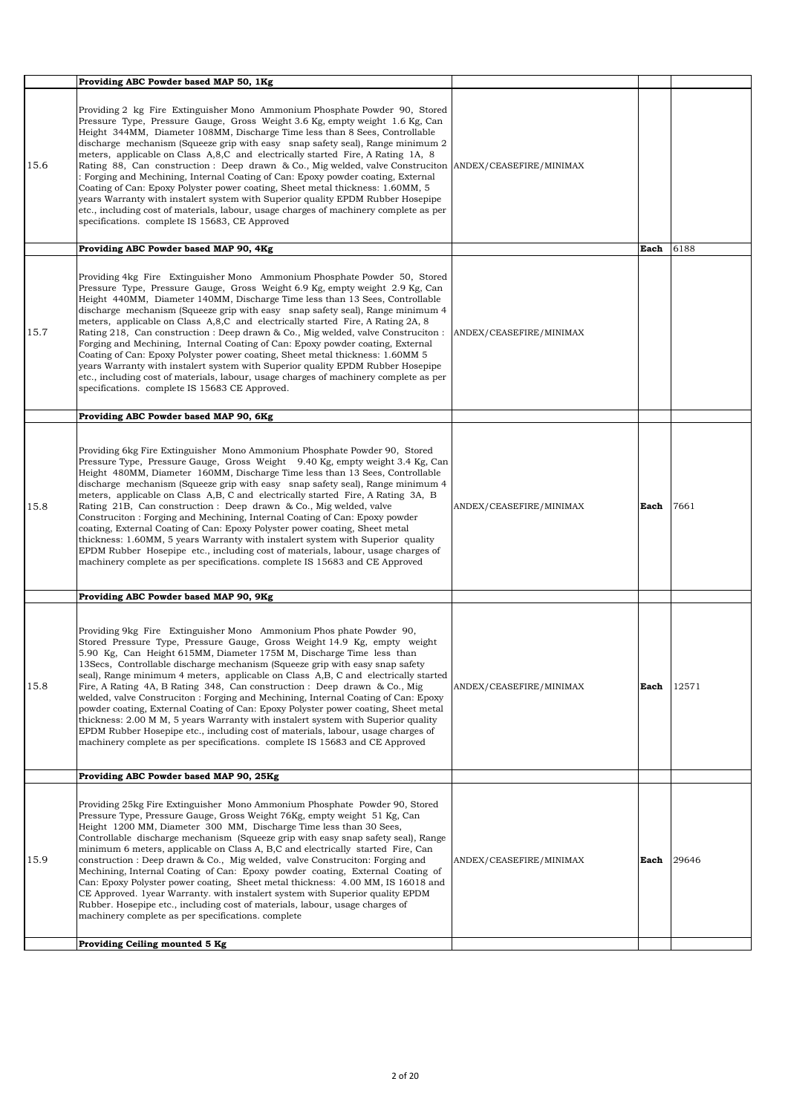|      | Providing ABC Powder based MAP 50, 1Kg                                                                                                                                                                                                                                                                                                                                                                                                                                                                                                                                                                                                                                                                                                                                                                                                                                                                                         |                         |      |       |
|------|--------------------------------------------------------------------------------------------------------------------------------------------------------------------------------------------------------------------------------------------------------------------------------------------------------------------------------------------------------------------------------------------------------------------------------------------------------------------------------------------------------------------------------------------------------------------------------------------------------------------------------------------------------------------------------------------------------------------------------------------------------------------------------------------------------------------------------------------------------------------------------------------------------------------------------|-------------------------|------|-------|
| 15.6 | Providing 2 kg Fire Extinguisher Mono Ammonium Phosphate Powder 90, Stored<br>Pressure Type, Pressure Gauge, Gross Weight 3.6 Kg, empty weight 1.6 Kg, Can<br>Height 344MM, Diameter 108MM, Discharge Time less than 8 Sees, Controllable<br>discharge mechanism (Squeeze grip with easy snap safety seal), Range minimum 2<br>meters, applicable on Class A, 8, C and electrically started Fire, A Rating 1A, 8<br>Rating 88, Can construction : Deep drawn & Co., Mig welded, valve Construciton ANDEX/CEASEFIRE/MINIMAX<br>: Forging and Mechining, Internal Coating of Can: Epoxy powder coating, External<br>Coating of Can: Epoxy Polyster power coating, Sheet metal thickness: 1.60MM, 5<br>years Warranty with instalert system with Superior quality EPDM Rubber Hosepipe<br>etc., including cost of materials, labour, usage charges of machinery complete as per<br>specifications. complete IS 15683, CE Approved |                         |      |       |
|      | Providing ABC Powder based MAP 90, 4Kg                                                                                                                                                                                                                                                                                                                                                                                                                                                                                                                                                                                                                                                                                                                                                                                                                                                                                         |                         | Each | 6188  |
| 15.7 | Providing 4kg Fire Extinguisher Mono Ammonium Phosphate Powder 50, Stored<br>Pressure Type, Pressure Gauge, Gross Weight 6.9 Kg, empty weight 2.9 Kg, Can<br>Height 440MM, Diameter 140MM, Discharge Time less than 13 Sees, Controllable<br>discharge mechanism (Squeeze grip with easy snap safety seal), Range minimum 4<br>meters, applicable on Class A,8,C and electrically started Fire, A Rating 2A, 8<br>Rating 218, Can construction : Deep drawn & Co., Mig welded, valve Construciton : ANDEX/CEASEFIRE/MINIMAX<br>Forging and Mechining, Internal Coating of Can: Epoxy powder coating, External<br>Coating of Can: Epoxy Polyster power coating, Sheet metal thickness: 1.60MM 5<br>years Warranty with instalert system with Superior quality EPDM Rubber Hosepipe<br>etc., including cost of materials, labour, usage charges of machinery complete as per<br>specifications. complete IS 15683 CE Approved.   |                         |      |       |
|      | Providing ABC Powder based MAP 90, 6Kg                                                                                                                                                                                                                                                                                                                                                                                                                                                                                                                                                                                                                                                                                                                                                                                                                                                                                         |                         |      |       |
| 15.8 | Providing 6kg Fire Extinguisher Mono Ammonium Phosphate Powder 90, Stored<br>Pressure Type, Pressure Gauge, Gross Weight 9.40 Kg, empty weight 3.4 Kg, Can<br>Height 480MM, Diameter 160MM, Discharge Time less than 13 Sees, Controllable<br>discharge mechanism (Squeeze grip with easy snap safety seal), Range minimum 4<br>meters, applicable on Class A,B, C and electrically started Fire, A Rating 3A, B<br>Rating 21B, Can construction : Deep drawn & Co., Mig welded, valve<br>Construciton: Forging and Mechining, Internal Coating of Can: Epoxy powder<br>coating, External Coating of Can: Epoxy Polyster power coating, Sheet metal<br>thickness: 1.60MM, 5 years Warranty with instalert system with Superior quality<br>EPDM Rubber Hosepipe etc., including cost of materials, labour, usage charges of<br>machinery complete as per specifications. complete IS 15683 and CE Approved                      | ANDEX/CEASEFIRE/MINIMAX | Each | 7661  |
|      | Providing ABC Powder based MAP 90, 9Kg                                                                                                                                                                                                                                                                                                                                                                                                                                                                                                                                                                                                                                                                                                                                                                                                                                                                                         |                         |      |       |
| 15.8 | Providing 9kg Fire Extinguisher Mono Ammonium Phos phate Powder 90,<br>Stored Pressure Type, Pressure Gauge, Gross Weight 14.9 Kg, empty weight<br>5.90 Kg, Can Height 615MM, Diameter 175M M, Discharge Time less than<br>13Secs, Controllable discharge mechanism (Squeeze grip with easy snap safety<br>seal), Range minimum 4 meters, applicable on Class A,B, C and electrically started<br>Fire, A Rating 4A, B Rating 348, Can construction : Deep drawn & Co., Mig.<br>welded, valve Construciton : Forging and Mechining, Internal Coating of Can: Epoxy<br>powder coating, External Coating of Can: Epoxy Polyster power coating, Sheet metal<br>thickness: 2.00 M M, 5 years Warranty with instalert system with Superior quality<br>EPDM Rubber Hosepipe etc., including cost of materials, labour, usage charges of<br>machinery complete as per specifications. complete IS 15683 and CE Approved                | ANDEX/CEASEFIRE/MINIMAX | Each | 12571 |
|      | Providing ABC Powder based MAP 90, 25Kg                                                                                                                                                                                                                                                                                                                                                                                                                                                                                                                                                                                                                                                                                                                                                                                                                                                                                        |                         |      |       |
| 15.9 | Providing 25kg Fire Extinguisher Mono Ammonium Phosphate Powder 90, Stored<br>Pressure Type, Pressure Gauge, Gross Weight 76Kg, empty weight 51 Kg, Can<br>Height 1200 MM, Diameter 300 MM, Discharge Time less than 30 Sees,<br>Controllable discharge mechanism (Squeeze grip with easy snap safety seal), Range<br>minimum 6 meters, applicable on Class A, B,C and electrically started Fire, Can<br>construction : Deep drawn & Co., Mig welded, valve Construction: Forging and<br>Mechining, Internal Coating of Can: Epoxy powder coating, External Coating of<br>Can: Epoxy Polyster power coating, Sheet metal thickness: 4.00 MM, IS 16018 and<br>CE Approved. 1 year Warranty. with instalert system with Superior quality EPDM<br>Rubber. Hosepipe etc., including cost of materials, labour, usage charges of<br>machinery complete as per specifications. complete                                              | ANDEX/CEASEFIRE/MINIMAX | Each | 29646 |
|      | Providing Ceiling mounted 5 Kg                                                                                                                                                                                                                                                                                                                                                                                                                                                                                                                                                                                                                                                                                                                                                                                                                                                                                                 |                         |      |       |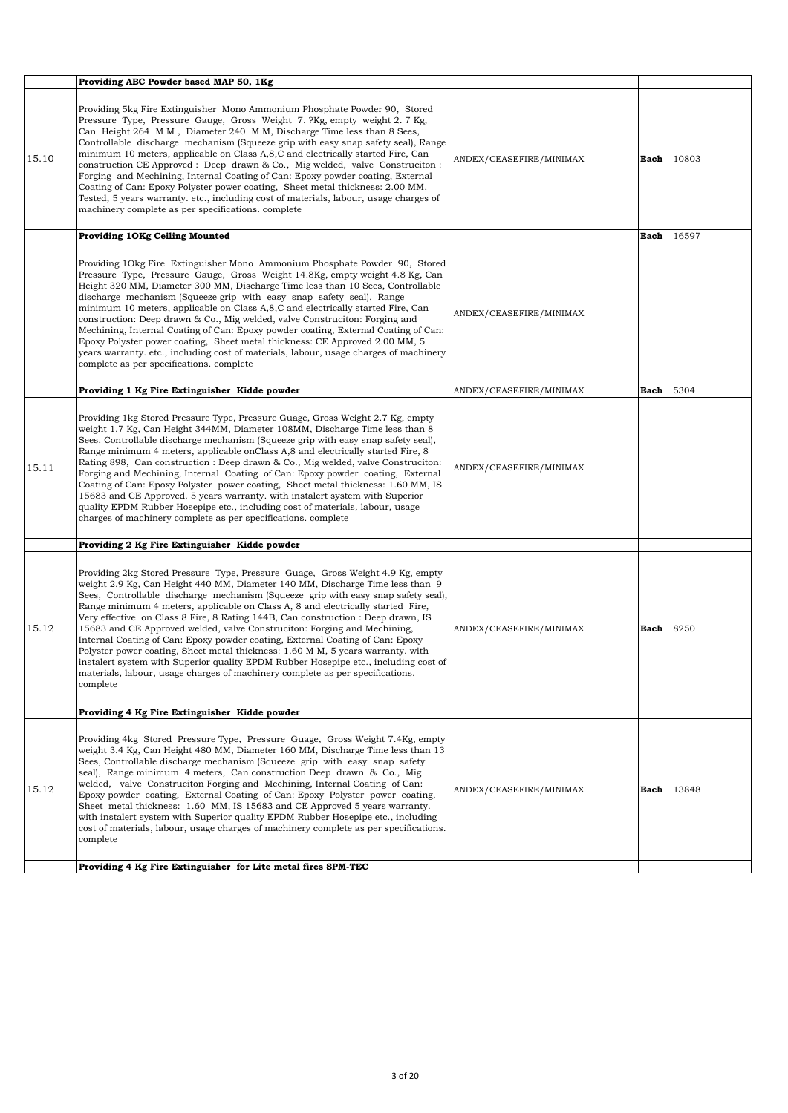|       | Providing ABC Powder based MAP 50, 1Kg                                                                                                                                                                                                                                                                                                                                                                                                                                                                                                                                                                                                                                                                                                                                                                                                                          |                         |      |       |
|-------|-----------------------------------------------------------------------------------------------------------------------------------------------------------------------------------------------------------------------------------------------------------------------------------------------------------------------------------------------------------------------------------------------------------------------------------------------------------------------------------------------------------------------------------------------------------------------------------------------------------------------------------------------------------------------------------------------------------------------------------------------------------------------------------------------------------------------------------------------------------------|-------------------------|------|-------|
| 15.10 | Providing 5kg Fire Extinguisher Mono Ammonium Phosphate Powder 90, Stored<br>Pressure Type, Pressure Gauge, Gross Weight 7. ?Kg, empty weight 2. 7 Kg,<br>Can Height 264 M M, Diameter 240 M M, Discharge Time less than 8 Sees,<br>Controllable discharge mechanism (Squeeze grip with easy snap safety seal), Range<br>minimum 10 meters, applicable on Class A, 8, C and electrically started Fire, Can<br>construction CE Approved : Deep drawn & Co., Mig welded, valve Construction :<br>Forging and Mechining, Internal Coating of Can: Epoxy powder coating, External<br>Coating of Can: Epoxy Polyster power coating, Sheet metal thickness: 2.00 MM,<br>Tested, 5 years warranty. etc., including cost of materials, labour, usage charges of<br>machinery complete as per specifications. complete                                                   | ANDEX/CEASEFIRE/MINIMAX | Each | 10803 |
|       | Providing 10Kg Ceiling Mounted                                                                                                                                                                                                                                                                                                                                                                                                                                                                                                                                                                                                                                                                                                                                                                                                                                  |                         | Each | 16597 |
|       | Providing 10kg Fire Extinguisher Mono Ammonium Phosphate Powder 90, Stored<br>Pressure Type, Pressure Gauge, Gross Weight 14.8Kg, empty weight 4.8 Kg, Can<br>Height 320 MM, Diameter 300 MM, Discharge Time less than 10 Sees, Controllable<br>discharge mechanism (Squeeze grip with easy snap safety seal), Range<br>minimum 10 meters, applicable on Class A,8,C and electrically started Fire, Can<br>construction: Deep drawn & Co., Mig welded, valve Construciton: Forging and<br>Mechining, Internal Coating of Can: Epoxy powder coating, External Coating of Can:<br>Epoxy Polyster power coating, Sheet metal thickness: CE Approved 2.00 MM, 5<br>years warranty, etc., including cost of materials, labour, usage charges of machinery<br>complete as per specifications. complete                                                                | ANDEX/CEASEFIRE/MINIMAX |      |       |
|       | Providing 1 Kg Fire Extinguisher Kidde powder                                                                                                                                                                                                                                                                                                                                                                                                                                                                                                                                                                                                                                                                                                                                                                                                                   | ANDEX/CEASEFIRE/MINIMAX | Each | 5304  |
| 15.11 | Providing 1kg Stored Pressure Type, Pressure Guage, Gross Weight 2.7 Kg, empty<br>weight 1.7 Kg, Can Height 344MM, Diameter 108MM, Discharge Time less than 8<br>Sees, Controllable discharge mechanism (Squeeze grip with easy snap safety seal),<br>Range minimum 4 meters, applicable on Class A, 8 and electrically started Fire, 8<br>Rating 898, Can construction : Deep drawn & Co., Mig welded, valve Construciton:<br>Forging and Mechining, Internal Coating of Can: Epoxy powder coating, External<br>Coating of Can: Epoxy Polyster power coating, Sheet metal thickness: 1.60 MM, IS<br>15683 and CE Approved. 5 years warranty, with instalert system with Superior<br>quality EPDM Rubber Hosepipe etc., including cost of materials, labour, usage<br>charges of machinery complete as per specifications. complete                             | ANDEX/CEASEFIRE/MINIMAX |      |       |
|       | Providing 2 Kg Fire Extinguisher Kidde powder                                                                                                                                                                                                                                                                                                                                                                                                                                                                                                                                                                                                                                                                                                                                                                                                                   |                         |      |       |
| 15.12 | Providing 2kg Stored Pressure Type, Pressure Guage, Gross Weight 4.9 Kg, empty<br>weight 2.9 Kg, Can Height 440 MM, Diameter 140 MM, Discharge Time less than 9<br>Sees, Controllable discharge mechanism (Squeeze grip with easy snap safety seal),<br>Range minimum 4 meters, applicable on Class A, 8 and electrically started Fire,<br>Very effective on Class 8 Fire, 8 Rating 144B, Can construction : Deep drawn, IS<br>15683 and CE Approved welded, valve Construciton: Forging and Mechining,<br>Internal Coating of Can: Epoxy powder coating, External Coating of Can: Epoxy<br>Polyster power coating, Sheet metal thickness: 1.60 M M, 5 years warranty. with<br>instalert system with Superior quality EPDM Rubber Hosepipe etc., including cost of<br>materials, labour, usage charges of machinery complete as per specifications.<br>complete | ANDEX/CEASEFIRE/MINIMAX | Each | 8250  |
|       | Providing 4 Kg Fire Extinguisher Kidde powder                                                                                                                                                                                                                                                                                                                                                                                                                                                                                                                                                                                                                                                                                                                                                                                                                   |                         |      |       |
| 15.12 | Providing 4kg Stored Pressure Type, Pressure Guage, Gross Weight 7.4Kg, empty<br>weight 3.4 Kg, Can Height 480 MM, Diameter 160 MM, Discharge Time less than 13<br>Sees, Controllable discharge mechanism (Squeeze grip with easy snap safety<br>seal), Range minimum 4 meters, Can construction Deep drawn & Co., Mig<br>welded, valve Construciton Forging and Mechining, Internal Coating of Can:<br>Epoxy powder coating, External Coating of Can: Epoxy Polyster power coating,<br>Sheet metal thickness: 1.60 MM, IS 15683 and CE Approved 5 years warranty.<br>with instalert system with Superior quality EPDM Rubber Hosepipe etc., including<br>cost of materials, labour, usage charges of machinery complete as per specifications.<br>complete                                                                                                     | ANDEX/CEASEFIRE/MINIMAX | Each | 13848 |
|       | Providing 4 Kg Fire Extinguisher for Lite metal fires SPM-TEC                                                                                                                                                                                                                                                                                                                                                                                                                                                                                                                                                                                                                                                                                                                                                                                                   |                         |      |       |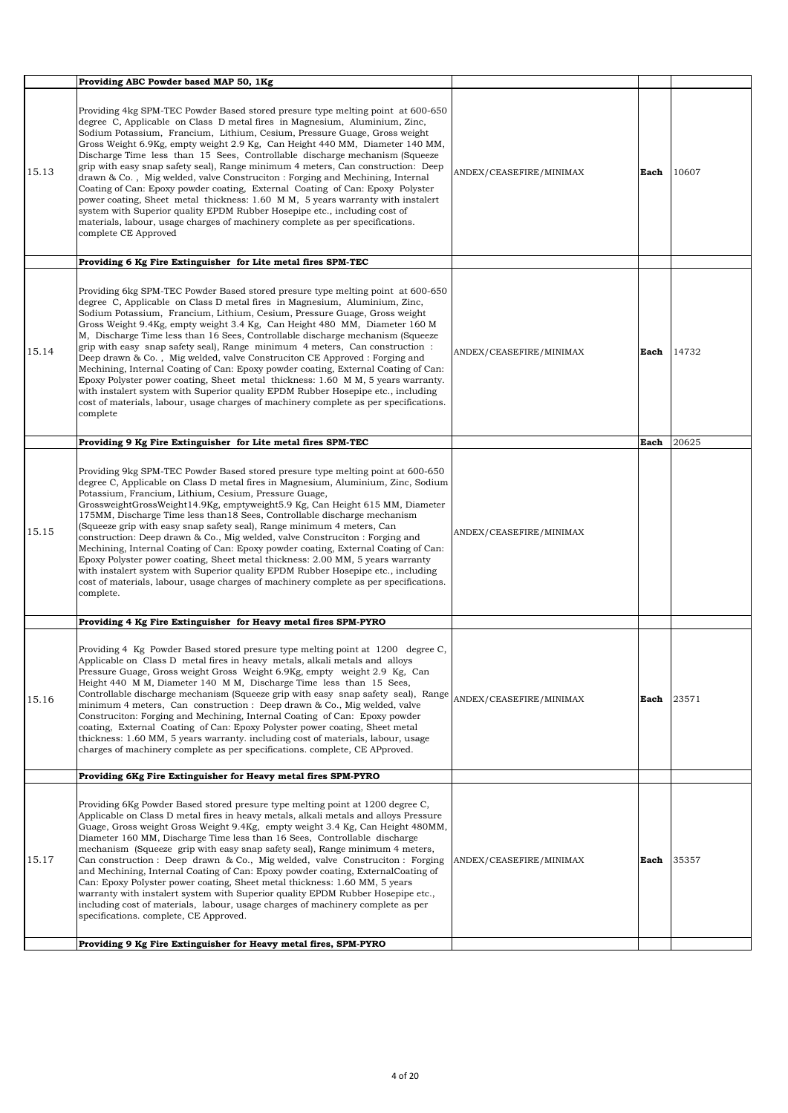|       | Providing ABC Powder based MAP 50, 1Kg                                                                                                                                                                                                                                                                                                                                                                                                                                                                                                                                                                                                                                                                                                                                                                                                                                                                                                      |                         |      |       |
|-------|---------------------------------------------------------------------------------------------------------------------------------------------------------------------------------------------------------------------------------------------------------------------------------------------------------------------------------------------------------------------------------------------------------------------------------------------------------------------------------------------------------------------------------------------------------------------------------------------------------------------------------------------------------------------------------------------------------------------------------------------------------------------------------------------------------------------------------------------------------------------------------------------------------------------------------------------|-------------------------|------|-------|
| 15.13 | Providing 4kg SPM-TEC Powder Based stored presure type melting point at 600-650<br>degree C, Applicable on Class D metal fires in Magnesium, Aluminium, Zinc,<br>Sodium Potassium, Francium, Lithium, Cesium, Pressure Guage, Gross weight<br>Gross Weight 6.9Kg, empty weight 2.9 Kg, Can Height 440 MM, Diameter 140 MM,<br>Discharge Time less than 15 Sees, Controllable discharge mechanism (Squeeze)<br>grip with easy snap safety seal), Range minimum 4 meters, Can construction: Deep<br>drawn & Co., Mig welded, valve Construciton: Forging and Mechining, Internal<br>Coating of Can: Epoxy powder coating, External Coating of Can: Epoxy Polyster<br>power coating, Sheet metal thickness: 1.60 M M, 5 years warranty with instalert<br>system with Superior quality EPDM Rubber Hosepipe etc., including cost of<br>materials, labour, usage charges of machinery complete as per specifications.<br>complete CE Approved    | ANDEX/CEASEFIRE/MINIMAX | Each | 10607 |
|       | Providing 6 Kg Fire Extinguisher for Lite metal fires SPM-TEC                                                                                                                                                                                                                                                                                                                                                                                                                                                                                                                                                                                                                                                                                                                                                                                                                                                                               |                         |      |       |
| 15.14 | Providing 6kg SPM-TEC Powder Based stored presure type melting point at 600-650<br>degree C, Applicable on Class D metal fires in Magnesium, Aluminium, Zinc,<br>Sodium Potassium, Francium, Lithium, Cesium, Pressure Guage, Gross weight<br>Gross Weight 9.4Kg, empty weight 3.4 Kg, Can Height 480 MM, Diameter 160 M<br>M, Discharge Time less than 16 Sees, Controllable discharge mechanism (Squeeze<br>grip with easy snap safety seal), Range minimum 4 meters, Can construction :<br>Deep drawn & Co., Mig welded, valve Construciton CE Approved : Forging and<br>Mechining, Internal Coating of Can: Epoxy powder coating, External Coating of Can:<br>Epoxy Polyster power coating, Sheet metal thickness: 1.60 M M, 5 years warranty.<br>with instalert system with Superior quality EPDM Rubber Hosepipe etc., including<br>cost of materials, labour, usage charges of machinery complete as per specifications.<br>complete | ANDEX/CEASEFIRE/MINIMAX | Each | 14732 |
|       | Providing 9 Kg Fire Extinguisher for Lite metal fires SPM-TEC                                                                                                                                                                                                                                                                                                                                                                                                                                                                                                                                                                                                                                                                                                                                                                                                                                                                               |                         | Each | 20625 |
| 15.15 | Providing 9kg SPM-TEC Powder Based stored presure type melting point at 600-650<br>degree C, Applicable on Class D metal fires in Magnesium, Aluminium, Zinc, Sodium<br>Potassium, Francium, Lithium, Cesium, Pressure Guage,<br>GrossweightGrossWeight14.9Kg, emptyweight5.9 Kg, Can Height 615 MM, Diameter<br>175MM, Discharge Time less than 18 Sees, Controllable discharge mechanism<br>(Squeeze grip with easy snap safety seal), Range minimum 4 meters, Can<br>construction: Deep drawn & Co., Mig welded, valve Construction : Forging and<br>Mechining, Internal Coating of Can: Epoxy powder coating, External Coating of Can:<br>Epoxy Polyster power coating, Sheet metal thickness: 2.00 MM, 5 years warranty<br>with instalert system with Superior quality EPDM Rubber Hosepipe etc., including<br>cost of materials, labour, usage charges of machinery complete as per specifications.<br>complete.                      | ANDEX/CEASEFIRE/MINIMAX |      |       |
|       | Providing 4 Kg Fire Extinguisher for Heavy metal fires SPM-PYRO                                                                                                                                                                                                                                                                                                                                                                                                                                                                                                                                                                                                                                                                                                                                                                                                                                                                             |                         |      |       |
| 15.16 | Providing 4 Kg Powder Based stored presure type melting point at 1200 degree C,<br>Applicable on Class D metal fires in heavy metals, alkali metals and alloys<br>Pressure Guage, Gross weight Gross Weight 6.9Kg, empty weight 2.9 Kg, Can<br>Height 440 M M, Diameter 140 M M, Discharge Time less than 15 Sees,<br>Controllable discharge mechanism (Squeeze grip with easy snap safety seal), Range<br>minimum 4 meters, Can construction : Deep drawn & Co., Mig welded, valve<br>Construciton: Forging and Mechining, Internal Coating of Can: Epoxy powder<br>coating, External Coating of Can: Epoxy Polyster power coating, Sheet metal<br>thickness: 1.60 MM, 5 years warranty, including cost of materials, labour, usage<br>charges of machinery complete as per specifications. complete, CE APproved.                                                                                                                         | ANDEX/CEASEFIRE/MINIMAX | Each | 23571 |
|       | Providing 6Kg Fire Extinguisher for Heavy metal fires SPM-PYRO                                                                                                                                                                                                                                                                                                                                                                                                                                                                                                                                                                                                                                                                                                                                                                                                                                                                              |                         |      |       |
| 15.17 | Providing 6Kg Powder Based stored presure type melting point at 1200 degree C,<br>Applicable on Class D metal fires in heavy metals, alkali metals and alloys Pressure<br>Guage, Gross weight Gross Weight 9.4Kg, empty weight 3.4 Kg, Can Height 480MM,<br>Diameter 160 MM, Discharge Time less than 16 Sees, Controllable discharge<br>mechanism (Squeeze grip with easy snap safety seal), Range minimum 4 meters,<br>Can construction : Deep drawn & Co., Mig welded, valve Construction : Forging<br>and Mechining, Internal Coating of Can: Epoxy powder coating, ExternalCoating of<br>Can: Epoxy Polyster power coating, Sheet metal thickness: 1.60 MM, 5 years<br>warranty with instalert system with Superior quality EPDM Rubber Hosepipe etc.,<br>including cost of materials, labour, usage charges of machinery complete as per<br>specifications. complete, CE Approved.                                                    | ANDEX/CEASEFIRE/MINIMAX | Each | 35357 |
|       | Providing 9 Kg Fire Extinguisher for Heavy metal fires, SPM-PYRO                                                                                                                                                                                                                                                                                                                                                                                                                                                                                                                                                                                                                                                                                                                                                                                                                                                                            |                         |      |       |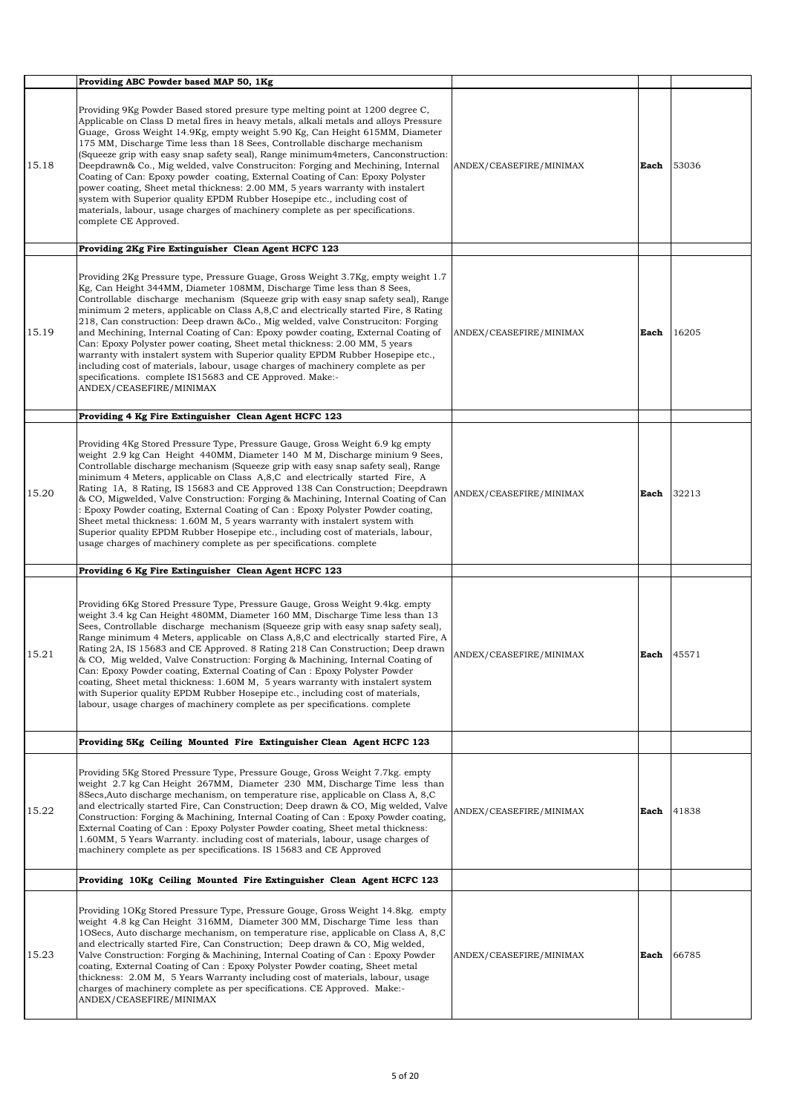|       | Providing ABC Powder based MAP 50, 1Kg                                                                                                                                                                                                                                                                                                                                                                                                                                                                                                                                                                                                                                                                                                                                                                                                                                 |                         |      |       |
|-------|------------------------------------------------------------------------------------------------------------------------------------------------------------------------------------------------------------------------------------------------------------------------------------------------------------------------------------------------------------------------------------------------------------------------------------------------------------------------------------------------------------------------------------------------------------------------------------------------------------------------------------------------------------------------------------------------------------------------------------------------------------------------------------------------------------------------------------------------------------------------|-------------------------|------|-------|
| 15.18 | Providing 9Kg Powder Based stored presure type melting point at 1200 degree C,<br>Applicable on Class D metal fires in heavy metals, alkali metals and alloys Pressure<br>Guage, Gross Weight 14.9Kg, empty weight 5.90 Kg, Can Height 615MM, Diameter<br>175 MM, Discharge Time less than 18 Sees, Controllable discharge mechanism<br>(Squeeze grip with easy snap safety seal), Range minimum4meters, Canconstruction:<br>Deepdrawn& Co., Mig welded, valve Construciton: Forging and Mechining, Internal<br>Coating of Can: Epoxy powder coating, External Coating of Can: Epoxy Polyster<br>power coating, Sheet metal thickness: 2.00 MM, 5 years warranty with instalert<br>system with Superior quality EPDM Rubber Hosepipe etc., including cost of<br>materials, labour, usage charges of machinery complete as per specifications.<br>complete CE Approved. | ANDEX/CEASEFIRE/MINIMAX | Each | 53036 |
|       | Providing 2Kg Fire Extinguisher Clean Agent HCFC 123                                                                                                                                                                                                                                                                                                                                                                                                                                                                                                                                                                                                                                                                                                                                                                                                                   |                         |      |       |
| 15.19 | Providing 2Kg Pressure type, Pressure Guage, Gross Weight 3.7Kg, empty weight 1.7<br>Kg, Can Height 344MM, Diameter 108MM, Discharge Time less than 8 Sees,<br>Controllable discharge mechanism (Squeeze grip with easy snap safety seal), Range<br>minimum 2 meters, applicable on Class A, 8, C and electrically started Fire, 8 Rating<br>218, Can construction: Deep drawn & Co., Mig welded, valve Construciton: Forging<br>and Mechining, Internal Coating of Can: Epoxy powder coating, External Coating of<br>Can: Epoxy Polyster power coating, Sheet metal thickness: 2.00 MM, 5 years<br>warranty with instalert system with Superior quality EPDM Rubber Hosepipe etc.,<br>including cost of materials, labour, usage charges of machinery complete as per<br>specifications. complete IS15683 and CE Approved. Make:-<br>ANDEX/CEASEFIRE/MINIMAX          | ANDEX/CEASEFIRE/MINIMAX | Each | 16205 |
|       | Providing 4 Kg Fire Extinguisher Clean Agent HCFC 123                                                                                                                                                                                                                                                                                                                                                                                                                                                                                                                                                                                                                                                                                                                                                                                                                  |                         |      |       |
| 15.20 | Providing 4Kg Stored Pressure Type, Pressure Gauge, Gross Weight 6.9 kg empty<br>weight 2.9 kg Can Height 440MM, Diameter 140 MM, Discharge minium 9 Sees,<br>Controllable discharge mechanism (Squeeze grip with easy snap safety seal), Range<br>minimum 4 Meters, applicable on Class A,8,C and electrically started Fire, A<br>Rating 1A, 8 Rating, IS 15683 and CE Approved 138 Can Construction; Deepdrawn<br>& CO, Migwelded, Valve Construction: Forging & Machining, Internal Coating of Can<br>: Epoxy Powder coating, External Coating of Can : Epoxy Polyster Powder coating,<br>Sheet metal thickness: 1.60M M, 5 years warranty with instalert system with<br>Superior quality EPDM Rubber Hosepipe etc., including cost of materials, labour,<br>usage charges of machinery complete as per specifications. complete                                    | ANDEX/CEASEFIRE/MINIMAX | Each | 32213 |
|       | Providing 6 Kg Fire Extinguisher Clean Agent HCFC 123                                                                                                                                                                                                                                                                                                                                                                                                                                                                                                                                                                                                                                                                                                                                                                                                                  |                         |      |       |
| 15.21 | Providing 6Kg Stored Pressure Type, Pressure Gauge, Gross Weight 9.4kg. empty<br>weight 3.4 kg Can Height 480MM, Diameter 160 MM, Discharge Time less than 13<br>Sees, Controllable discharge mechanism (Squeeze grip with easy snap safety seal),<br>Range minimum 4 Meters, applicable on Class A,8,C and electrically started Fire, A<br>Rating 2A, IS 15683 and CE Approved. 8 Rating 218 Can Construction; Deep drawn<br>& CO, Mig welded, Valve Construction: Forging & Machining, Internal Coating of<br>Can: Epoxy Powder coating, External Coating of Can: Epoxy Polyster Powder<br>coating, Sheet metal thickness: 1.60M M, 5 years warranty with instalert system<br>with Superior quality EPDM Rubber Hosepipe etc., including cost of materials,<br>labour, usage charges of machinery complete as per specifications. complete                           | ANDEX/CEASEFIRE/MINIMAX | Each | 45571 |
|       | Providing 5Kg Ceiling Mounted Fire Extinguisher Clean Agent HCFC 123                                                                                                                                                                                                                                                                                                                                                                                                                                                                                                                                                                                                                                                                                                                                                                                                   |                         |      |       |
| 15.22 | Providing 5Kg Stored Pressure Type, Pressure Gouge, Gross Weight 7.7kg, empty<br>weight 2.7 kg Can Height 267MM, Diameter 230 MM, Discharge Time less than<br>8 Secs, Auto discharge mechanism, on temperature rise, applicable on Class A, 8, C<br>and electrically started Fire, Can Construction; Deep drawn & CO, Mig welded, Valve<br>Construction: Forging & Machining, Internal Coating of Can: Epoxy Powder coating,<br>External Coating of Can: Epoxy Polyster Powder coating, Sheet metal thickness:<br>1.60MM, 5 Years Warranty. including cost of materials, labour, usage charges of<br>machinery complete as per specifications. IS 15683 and CE Approved                                                                                                                                                                                                | ANDEX/CEASEFIRE/MINIMAX | Each | 41838 |
|       | Providing 10Kg Ceiling Mounted Fire Extinguisher Clean Agent HCFC 123                                                                                                                                                                                                                                                                                                                                                                                                                                                                                                                                                                                                                                                                                                                                                                                                  |                         |      |       |
| 15.23 | Providing 10Kg Stored Pressure Type, Pressure Gouge, Gross Weight 14.8kg. empty<br>weight 4.8 kg Can Height 316MM, Diameter 300 MM, Discharge Time less than<br>10 Secs, Auto discharge mechanism, on temperature rise, applicable on Class A, 8, C<br>and electrically started Fire, Can Construction; Deep drawn & CO, Mig welded,<br>Valve Construction: Forging & Machining, Internal Coating of Can: Epoxy Powder<br>coating, External Coating of Can : Epoxy Polyster Powder coating, Sheet metal<br>thickness: 2.0M M, 5 Years Warranty including cost of materials, labour, usage<br>charges of machinery complete as per specifications. CE Approved. Make:-<br>ANDEX/CEASEFIRE/MINIMAX                                                                                                                                                                       | ANDEX/CEASEFIRE/MINIMAX | Each | 66785 |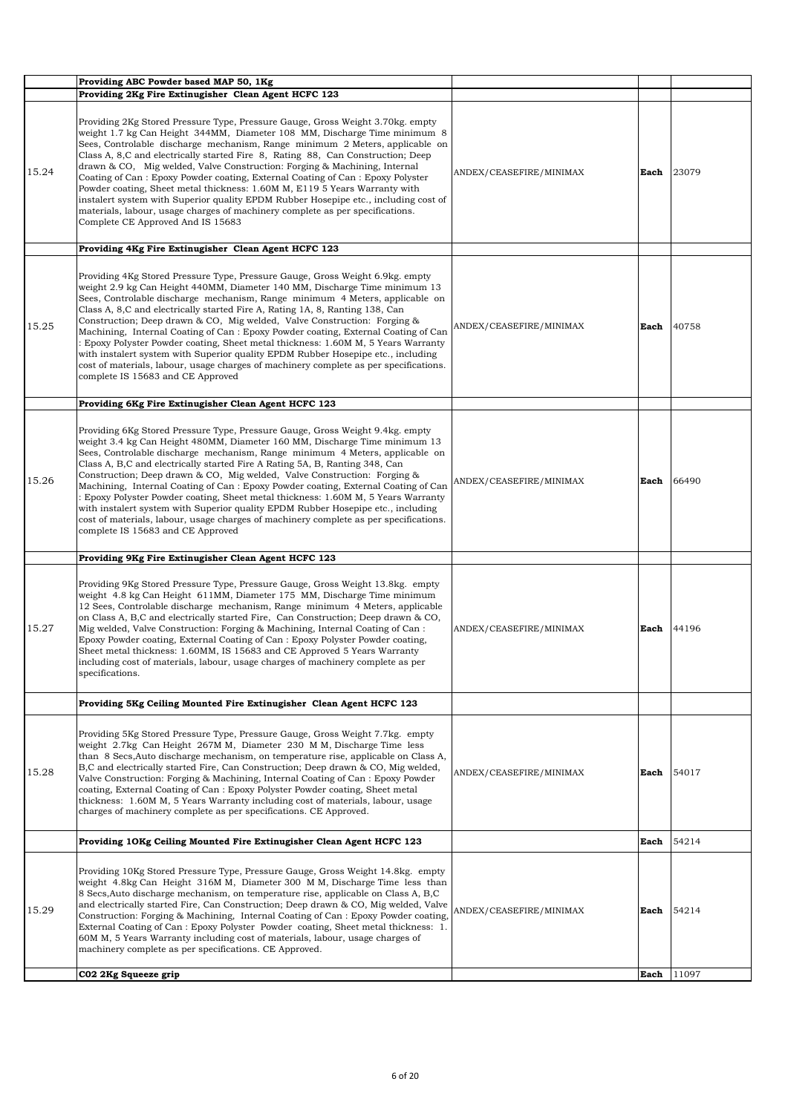|       | Providing ABC Powder based MAP 50, 1Kg                                                                                                                                                                                                                                                                                                                                                                                                                                                                                                                                                                                                                                                                                                                                                               |                         |      |       |
|-------|------------------------------------------------------------------------------------------------------------------------------------------------------------------------------------------------------------------------------------------------------------------------------------------------------------------------------------------------------------------------------------------------------------------------------------------------------------------------------------------------------------------------------------------------------------------------------------------------------------------------------------------------------------------------------------------------------------------------------------------------------------------------------------------------------|-------------------------|------|-------|
|       | Providing 2Kg Fire Extinugisher Clean Agent HCFC 123                                                                                                                                                                                                                                                                                                                                                                                                                                                                                                                                                                                                                                                                                                                                                 |                         |      |       |
| 15.24 | Providing 2Kg Stored Pressure Type, Pressure Gauge, Gross Weight 3.70kg, empty<br>weight 1.7 kg Can Height 344MM, Diameter 108 MM, Discharge Time minimum 8<br>Sees, Controlable discharge mechanism, Range minimum 2 Meters, applicable on<br>Class A, 8, C and electrically started Fire 8, Rating 88, Can Construction; Deep<br>drawn & CO, Mig welded, Valve Construction: Forging & Machining, Internal<br>Coating of Can: Epoxy Powder coating, External Coating of Can: Epoxy Polyster<br>Powder coating, Sheet metal thickness: 1.60M M, E119 5 Years Warranty with<br>instalert system with Superior quality EPDM Rubber Hosepipe etc., including cost of<br>materials, labour, usage charges of machinery complete as per specifications.<br>Complete CE Approved And IS 15683             | ANDEX/CEASEFIRE/MINIMAX | Each | 23079 |
|       | Providing 4Kg Fire Extinugisher Clean Agent HCFC 123                                                                                                                                                                                                                                                                                                                                                                                                                                                                                                                                                                                                                                                                                                                                                 |                         |      |       |
| 15.25 | Providing 4Kg Stored Pressure Type, Pressure Gauge, Gross Weight 6.9kg. empty<br>weight 2.9 kg Can Height 440MM, Diameter 140 MM, Discharge Time minimum 13<br>Sees, Controlable discharge mechanism, Range minimum 4 Meters, applicable on<br>Class A, 8, C and electrically started Fire A, Rating 1A, 8, Ranting 138, Can<br>Construction; Deep drawn & CO, Mig welded, Valve Construction: Forging &<br>Machining, Internal Coating of Can: Epoxy Powder coating, External Coating of Can<br>: Epoxy Polyster Powder coating, Sheet metal thickness: 1.60M M, 5 Years Warranty<br>with instalert system with Superior quality EPDM Rubber Hosepipe etc., including<br>cost of materials, labour, usage charges of machinery complete as per specifications.<br>complete IS 15683 and CE Approved | ANDEX/CEASEFIRE/MINIMAX | Each | 40758 |
|       | Providing 6Kg Fire Extinugisher Clean Agent HCFC 123                                                                                                                                                                                                                                                                                                                                                                                                                                                                                                                                                                                                                                                                                                                                                 |                         |      |       |
| 15.26 | Providing 6Kg Stored Pressure Type, Pressure Gauge, Gross Weight 9.4kg, empty<br>weight 3.4 kg Can Height 480MM, Diameter 160 MM, Discharge Time minimum 13<br>Sees, Controlable discharge mechanism, Range minimum 4 Meters, applicable on<br>Class A, B,C and electrically started Fire A Rating 5A, B, Ranting 348, Can<br>Construction; Deep drawn & CO, Mig welded, Valve Construction: Forging &<br>Machining, Internal Coating of Can: Epoxy Powder coating, External Coating of Can<br>: Epoxy Polyster Powder coating, Sheet metal thickness: 1.60M M, 5 Years Warranty<br>with instalert system with Superior quality EPDM Rubber Hosepipe etc., including<br>cost of materials, labour, usage charges of machinery complete as per specifications.<br>complete IS 15683 and CE Approved   | ANDEX/CEASEFIRE/MINIMAX | Each | 66490 |
|       | Providing 9Kg Fire Extinugisher Clean Agent HCFC 123                                                                                                                                                                                                                                                                                                                                                                                                                                                                                                                                                                                                                                                                                                                                                 |                         |      |       |
| 15.27 | Providing 9Kg Stored Pressure Type, Pressure Gauge, Gross Weight 13.8kg. empty<br>weight 4.8 kg Can Height 611MM, Diameter 175 MM, Discharge Time minimum<br>12 Sees, Controlable discharge mechanism, Range minimum 4 Meters, applicable<br>on Class A, B,C and electrically started Fire, Can Construction; Deep drawn & CO,<br>Mig welded, Valve Construction: Forging & Machining, Internal Coating of Can:<br>Epoxy Powder coating, External Coating of Can: Epoxy Polyster Powder coating,<br>Sheet metal thickness: 1.60MM, IS 15683 and CE Approved 5 Years Warranty<br>including cost of materials, labour, usage charges of machinery complete as per<br>specifications.                                                                                                                   | ANDEX/CEASEFIRE/MINIMAX | Each | 44196 |
|       | Providing 5Kg Ceiling Mounted Fire Extinugisher Clean Agent HCFC 123                                                                                                                                                                                                                                                                                                                                                                                                                                                                                                                                                                                                                                                                                                                                 |                         |      |       |
| 15.28 | Providing 5Kg Stored Pressure Type, Pressure Gauge, Gross Weight 7.7kg. empty<br>weight 2.7kg Can Height 267M M, Diameter 230 M M, Discharge Time less<br>than 8 Secs, Auto discharge mechanism, on temperature rise, applicable on Class A,<br>B,C and electrically started Fire, Can Construction; Deep drawn & CO, Mig welded,<br>Valve Construction: Forging & Machining, Internal Coating of Can: Epoxy Powder<br>coating, External Coating of Can: Epoxy Polyster Powder coating, Sheet metal<br>thickness: 1.60M M, 5 Years Warranty including cost of materials, labour, usage<br>charges of machinery complete as per specifications. CE Approved.                                                                                                                                          | ANDEX/CEASEFIRE/MINIMAX | Each | 54017 |
|       | Providing 10Kg Ceiling Mounted Fire Extinugisher Clean Agent HCFC 123                                                                                                                                                                                                                                                                                                                                                                                                                                                                                                                                                                                                                                                                                                                                |                         | Each | 54214 |
| 15.29 | Providing 10Kg Stored Pressure Type, Pressure Gauge, Gross Weight 14.8kg. empty<br>weight 4.8kg Can Height 316M M, Diameter 300 M M, Discharge Time less than<br>8 Secs, Auto discharge mechanism, on temperature rise, applicable on Class A, B,C<br>and electrically started Fire, Can Construction; Deep drawn & CO, Mig welded, Valve<br>Construction: Forging & Machining, Internal Coating of Can: Epoxy Powder coating,<br>External Coating of Can: Epoxy Polyster Powder coating, Sheet metal thickness: 1.<br>60M M, 5 Years Warranty including cost of materials, labour, usage charges of<br>machinery complete as per specifications. CE Approved.                                                                                                                                       | ANDEX/CEASEFIRE/MINIMAX | Each | 54214 |
|       | C02 2Kg Squeeze grip                                                                                                                                                                                                                                                                                                                                                                                                                                                                                                                                                                                                                                                                                                                                                                                 |                         | Each | 11097 |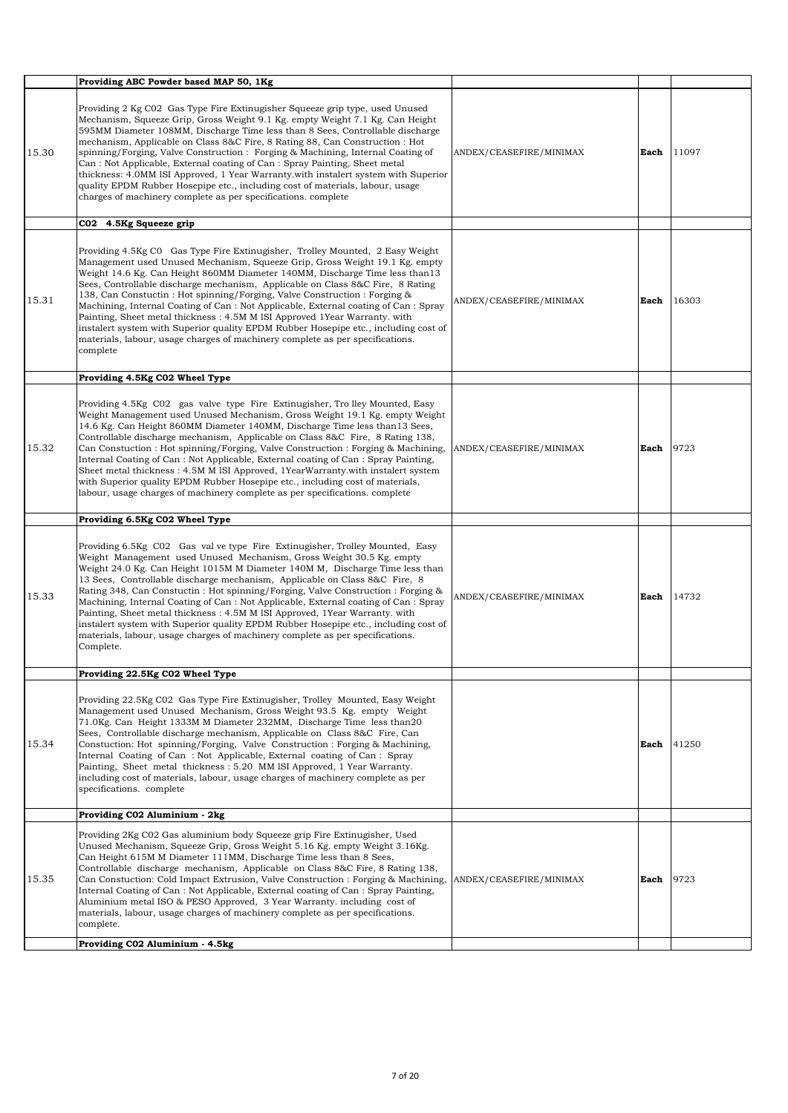|       | Providing ABC Powder based MAP 50, 1Kg                                                                                                                                                                                                                                                                                                                                                                                                                                                                                                                                                                                                                                                                                                                            |                         |      |       |
|-------|-------------------------------------------------------------------------------------------------------------------------------------------------------------------------------------------------------------------------------------------------------------------------------------------------------------------------------------------------------------------------------------------------------------------------------------------------------------------------------------------------------------------------------------------------------------------------------------------------------------------------------------------------------------------------------------------------------------------------------------------------------------------|-------------------------|------|-------|
| 15.30 | Providing 2 Kg CO2 Gas Type Fire Extinugisher Squeeze grip type, used Unused<br>Mechanism, Squeeze Grip, Gross Weight 9.1 Kg. empty Weight 7.1 Kg. Can Height<br>595MM Diameter 108MM, Discharge Time less than 8 Sees, Controllable discharge<br>mechanism, Applicable on Class 8&C Fire, 8 Rating 88, Can Construction : Hot<br>spinning/Forging, Valve Construction : Forging & Machining, Internal Coating of<br>Can: Not Applicable, External coating of Can: Spray Painting, Sheet metal<br>thickness: 4.0MM ISI Approved, 1 Year Warranty with instalert system with Superior<br>quality EPDM Rubber Hosepipe etc., including cost of materials, labour, usage<br>charges of machinery complete as per specifications, complete                            | ANDEX/CEASEFIRE/MINIMAX | Each | 11097 |
|       | C02 4.5Kg Squeeze grip                                                                                                                                                                                                                                                                                                                                                                                                                                                                                                                                                                                                                                                                                                                                            |                         |      |       |
| 15.31 | Providing 4.5Kg CO Gas Type Fire Extinugisher, Trolley Mounted, 2 Easy Weight<br>Management used Unused Mechanism, Squeeze Grip, Gross Weight 19.1 Kg. empty<br>Weight 14.6 Kg. Can Height 860MM Diameter 140MM, Discharge Time less than 13<br>Sees, Controllable discharge mechanism, Applicable on Class 8&C Fire, 8 Rating<br>138, Can Constuctin: Hot spinning/Forging, Valve Construction: Forging &<br>Machining, Internal Coating of Can: Not Applicable, External coating of Can: Spray<br>Painting, Sheet metal thickness: 4.5M M ISI Approved 1Year Warranty. with<br>instalert system with Superior quality EPDM Rubber Hosepipe etc., including cost of<br>materials, labour, usage charges of machinery complete as per specifications.<br>complete | ANDEX/CEASEFIRE/MINIMAX | Each | 16303 |
|       | Providing 4.5Kg C02 Wheel Type                                                                                                                                                                                                                                                                                                                                                                                                                                                                                                                                                                                                                                                                                                                                    |                         |      |       |
| 15.32 | Providing 4.5Kg CO2 gas valve type Fire Extinugisher, Tro lley Mounted, Easy<br>Weight Management used Unused Mechanism, Gross Weight 19.1 Kg. empty Weight<br>14.6 Kg. Can Height 860MM Diameter 140MM, Discharge Time less than 13 Sees,<br>Controllable discharge mechanism, Applicable on Class 8&C Fire, 8 Rating 138,<br>Can Constuction : Hot spinning/Forging, Valve Construction : Forging & Machining,<br>Internal Coating of Can: Not Applicable, External coating of Can: Spray Painting,<br>Sheet metal thickness: 4.5M M ISI Approved, 1YearWarranty.with instalert system<br>with Superior quality EPDM Rubber Hosepipe etc., including cost of materials,<br>labour, usage charges of machinery complete as per specifications. complete          | ANDEX/CEASEFIRE/MINIMAX | Each | 9723  |
|       | Providing 6.5Kg C02 Wheel Type                                                                                                                                                                                                                                                                                                                                                                                                                                                                                                                                                                                                                                                                                                                                    |                         |      |       |
| 15.33 | Providing 6.5Kg C02 Gas val ve type Fire Extinugisher, Trolley Mounted, Easy<br>Weight Management used Unused Mechanism, Gross Weight 30.5 Kg. empty<br>Weight 24.0 Kg. Can Height 1015M M Diameter 140M M, Discharge Time less than<br>13 Sees, Controllable discharge mechanism, Applicable on Class 8&C Fire, 8<br>Rating 348, Can Constuctin : Hot spinning/Forging, Valve Construction : Forging &<br>Machining, Internal Coating of Can: Not Applicable, External coating of Can: Spray<br>Painting, Sheet metal thickness: 4.5M M ISI Approved, 1Year Warranty. with<br>instalert system with Superior quality EPDM Rubber Hosepipe etc., including cost of<br>materials, labour, usage charges of machinery complete as per specifications.<br>Complete.  | ANDEX/CEASEFIRE/MINIMAX | Each | 14732 |
|       |                                                                                                                                                                                                                                                                                                                                                                                                                                                                                                                                                                                                                                                                                                                                                                   |                         |      |       |
|       | Providing 22.5Kg C02 Wheel Type                                                                                                                                                                                                                                                                                                                                                                                                                                                                                                                                                                                                                                                                                                                                   |                         |      |       |
| 15.34 | Providing 22.5Kg C02 Gas Type Fire Extinugisher, Trolley Mounted, Easy Weight<br>Management used Unused Mechanism, Gross Weight 93.5 Kg. empty Weight<br>71.0Kg. Can Height 1333M M Diameter 232MM, Discharge Time less than 20<br>Sees, Controllable discharge mechanism, Applicable on Class 8&C Fire, Can<br>Construction: Hot spinning/Forging, Valve Construction: Forging & Machining,<br>Internal Coating of Can: Not Applicable, External coating of Can: Spray<br>Painting, Sheet metal thickness: 5.20 MM ISI Approved, 1 Year Warranty.<br>including cost of materials, labour, usage charges of machinery complete as per<br>specifications. complete                                                                                                 |                         | Each | 41250 |
|       | Providing C02 Aluminium - 2kg                                                                                                                                                                                                                                                                                                                                                                                                                                                                                                                                                                                                                                                                                                                                     |                         |      |       |
| 15.35 | Providing 2Kg C02 Gas aluminium body Squeeze grip Fire Extinugisher, Used<br>Unused Mechanism, Squeeze Grip, Gross Weight 5.16 Kg. empty Weight 3.16Kg.<br>Can Height 615M M Diameter 111MM, Discharge Time less than 8 Sees,<br>Controllable discharge mechanism, Applicable on Class 8&C Fire, 8 Rating 138,<br>Can Constuction: Cold Impact Extrusion, Valve Construction : Forging & Machining, ANDEX/CEASEFIRE/MINIMAX<br>Internal Coating of Can: Not Applicable, External coating of Can: Spray Painting,<br>Aluminium metal ISO & PESO Approved, 3 Year Warranty. including cost of<br>materials, labour, usage charges of machinery complete as per specifications.<br>complete.<br>Providing C02 Aluminium - 4.5kg                                      |                         | Each | 9723  |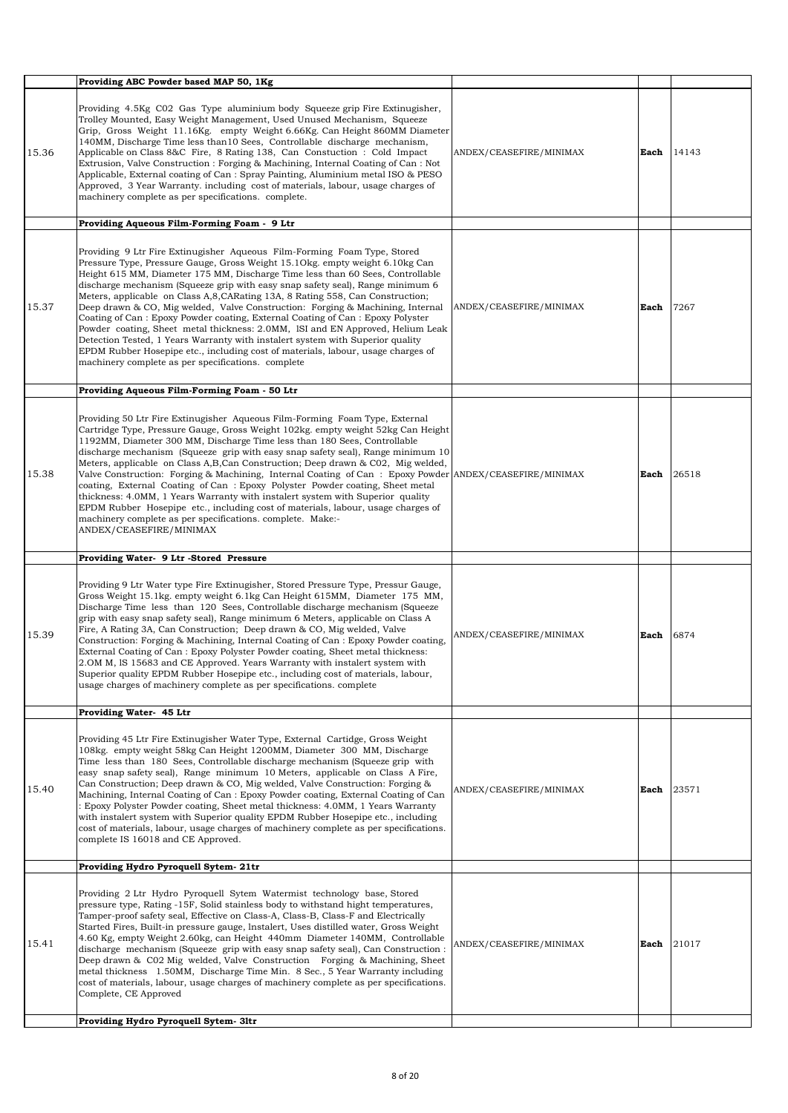|       | Providing ABC Powder based MAP 50, 1Kg                                                                                                                                                                                                                                                                                                                                                                                                                                                                                                                                                                                                                                                                                                                                                                                                                                                          |                         |      |       |
|-------|-------------------------------------------------------------------------------------------------------------------------------------------------------------------------------------------------------------------------------------------------------------------------------------------------------------------------------------------------------------------------------------------------------------------------------------------------------------------------------------------------------------------------------------------------------------------------------------------------------------------------------------------------------------------------------------------------------------------------------------------------------------------------------------------------------------------------------------------------------------------------------------------------|-------------------------|------|-------|
| 15.36 | Providing 4.5Kg C02 Gas Type aluminium body Squeeze grip Fire Extinugisher,<br>Trolley Mounted, Easy Weight Management, Used Unused Mechanism, Squeeze<br>Grip, Gross Weight 11.16Kg. empty Weight 6.66Kg. Can Height 860MM Diameter<br>140MM, Discharge Time less than 10 Sees, Controllable discharge mechanism,<br>Applicable on Class 8&C Fire, 8 Rating 138, Can Constuction : Cold Impact<br>Extrusion, Valve Construction : Forging & Machining, Internal Coating of Can : Not<br>Applicable, External coating of Can : Spray Painting, Aluminium metal ISO & PESO<br>Approved, 3 Year Warranty. including cost of materials, labour, usage charges of<br>machinery complete as per specifications. complete.                                                                                                                                                                            | ANDEX/CEASEFIRE/MINIMAX | Each | 14143 |
|       | Providing Aqueous Film-Forming Foam - 9 Ltr                                                                                                                                                                                                                                                                                                                                                                                                                                                                                                                                                                                                                                                                                                                                                                                                                                                     |                         |      |       |
| 15.37 | Providing 9 Ltr Fire Extinugisher Aqueous Film-Forming Foam Type, Stored<br>Pressure Type, Pressure Gauge, Gross Weight 15.10kg. empty weight 6.10kg Can<br>Height 615 MM, Diameter 175 MM, Discharge Time less than 60 Sees, Controllable<br>discharge mechanism (Squeeze grip with easy snap safety seal), Range minimum 6<br>Meters, applicable on Class A,8, CARating 13A, 8 Rating 558, Can Construction;<br>Deep drawn & CO, Mig welded, Valve Construction: Forging & Machining, Internal<br>Coating of Can: Epoxy Powder coating, External Coating of Can: Epoxy Polyster<br>Powder coating, Sheet metal thickness: 2.0MM, ISI and EN Approved, Helium Leak<br>Detection Tested, 1 Years Warranty with instalert system with Superior quality<br>EPDM Rubber Hosepipe etc., including cost of materials, labour, usage charges of<br>machinery complete as per specifications. complete | ANDEX/CEASEFIRE/MINIMAX | Each | 7267  |
|       | Providing Aqueous Film-Forming Foam - 50 Ltr                                                                                                                                                                                                                                                                                                                                                                                                                                                                                                                                                                                                                                                                                                                                                                                                                                                    |                         |      |       |
| 15.38 | Providing 50 Ltr Fire Extinugisher Aqueous Film-Forming Foam Type, External<br>Cartridge Type, Pressure Gauge, Gross Weight 102kg. empty weight 52kg Can Height<br>1192MM, Diameter 300 MM, Discharge Time less than 180 Sees, Controllable<br>discharge mechanism (Squeeze grip with easy snap safety seal), Range minimum 10<br>Meters, applicable on Class A,B,Can Construction; Deep drawn & CO2, Mig welded,<br>Valve Construction: Forging & Machining, Internal Coating of Can: Epoxy Powder ANDEX/CEASEFIRE/MINIMAX<br>coating, External Coating of Can: Epoxy Polyster Powder coating, Sheet metal<br>thickness: 4.0MM, 1 Years Warranty with instalert system with Superior quality<br>EPDM Rubber Hosepipe etc., including cost of materials, labour, usage charges of<br>machinery complete as per specifications. complete. Make:-<br>ANDEX/CEASEFIRE/MINIMAX                      |                         | Each | 26518 |
|       | Providing Water- 9 Ltr -Stored Pressure                                                                                                                                                                                                                                                                                                                                                                                                                                                                                                                                                                                                                                                                                                                                                                                                                                                         |                         |      |       |
| 15.39 | Providing 9 Ltr Water type Fire Extinugisher, Stored Pressure Type, Pressur Gauge,<br>Gross Weight 15.1kg. empty weight 6.1kg Can Height 615MM, Diameter 175 MM,<br>Discharge Time less than 120 Sees, Controllable discharge mechanism (Squeeze)<br>grip with easy snap safety seal), Range minimum 6 Meters, applicable on Class A<br>Fire, A Rating 3A, Can Construction; Deep drawn & CO, Mig welded, Valve<br>Construction: Forging & Machining, Internal Coating of Can: Epoxy Powder coating,<br>External Coating of Can: Epoxy Polyster Powder coating, Sheet metal thickness:<br>2.OM M, IS 15683 and CE Approved. Years Warranty with instalert system with<br>Superior quality EPDM Rubber Hosepipe etc., including cost of materials, labour,<br>usage charges of machinery complete as per specifications. complete                                                                | ANDEX/CEASEFIRE/MINIMAX | Each | 6874  |
|       | Providing Water- 45 Ltr                                                                                                                                                                                                                                                                                                                                                                                                                                                                                                                                                                                                                                                                                                                                                                                                                                                                         |                         |      |       |
| 15.40 | Providing 45 Ltr Fire Extinugisher Water Type, External Cartidge, Gross Weight<br>108kg. empty weight 58kg Can Height 1200MM, Diameter 300 MM, Discharge<br>Time less than 180 Sees, Controllable discharge mechanism (Squeeze grip with<br>easy snap safety seal), Range minimum 10 Meters, applicable on Class A Fire,<br>Can Construction; Deep drawn & CO, Mig welded, Valve Construction: Forging &<br>Machining, Internal Coating of Can: Epoxy Powder coating, External Coating of Can<br>: Epoxy Polyster Powder coating, Sheet metal thickness: 4.0MM, 1 Years Warranty<br>with instalert system with Superior quality EPDM Rubber Hosepipe etc., including<br>cost of materials, labour, usage charges of machinery complete as per specifications.<br>complete IS 16018 and CE Approved.                                                                                             | ANDEX/CEASEFIRE/MINIMAX | Each | 23571 |
|       | Providing Hydro Pyroquell Sytem- 21tr                                                                                                                                                                                                                                                                                                                                                                                                                                                                                                                                                                                                                                                                                                                                                                                                                                                           |                         |      |       |
| 15.41 | Providing 2 Ltr Hydro Pyroquell Sytem Watermist technology base, Stored<br>pressure type, Rating -15F, Solid stainless body to withstand hight temperatures,<br>Tamper-proof safety seal, Effective on Class-A, Class-B, Class-F and Electrically<br>Started Fires, Built-in pressure gauge, Instalert, Uses distilled water, Gross Weight<br>4.60 Kg, empty Weight 2.60kg, can Height 440mm Diameter 140MM, Controllable<br>discharge mechanism (Squeeze grip with easy snap safety seal), Can Construction :<br>Deep drawn & CO2 Mig welded, Valve Construction Forging & Machining, Sheet<br>metal thickness 1.50MM, Discharge Time Min. 8 Sec., 5 Year Warranty including<br>cost of materials, labour, usage charges of machinery complete as per specifications.<br>Complete, CE Approved                                                                                                 | ANDEX/CEASEFIRE/MINIMAX | Each | 21017 |
|       | Providing Hydro Pyroquell Sytem- 3ltr                                                                                                                                                                                                                                                                                                                                                                                                                                                                                                                                                                                                                                                                                                                                                                                                                                                           |                         |      |       |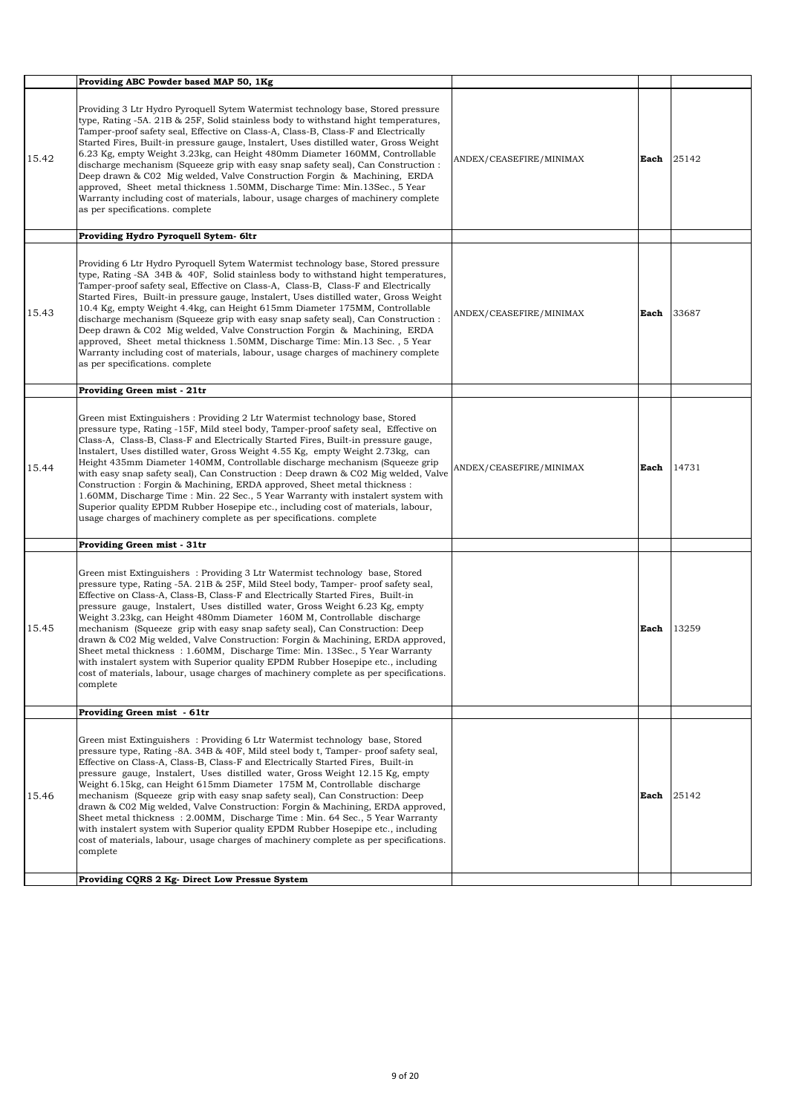|       | Providing ABC Powder based MAP 50, 1Kg                                                                                                                                                                                                                                                                                                                                                                                                                                                                                                                                                                                                                                                                                                                                                                                                                      |                         |      |       |
|-------|-------------------------------------------------------------------------------------------------------------------------------------------------------------------------------------------------------------------------------------------------------------------------------------------------------------------------------------------------------------------------------------------------------------------------------------------------------------------------------------------------------------------------------------------------------------------------------------------------------------------------------------------------------------------------------------------------------------------------------------------------------------------------------------------------------------------------------------------------------------|-------------------------|------|-------|
| 15.42 | Providing 3 Ltr Hydro Pyroquell Sytem Watermist technology base, Stored pressure<br>type, Rating -5A. 21B & 25F, Solid stainless body to withstand hight temperatures,<br>Tamper-proof safety seal, Effective on Class-A, Class-B, Class-F and Electrically<br>Started Fires, Built-in pressure gauge, lnstalert, Uses distilled water, Gross Weight<br>6.23 Kg, empty Weight 3.23kg, can Height 480mm Diameter 160MM, Controllable<br>discharge mechanism (Squeeze grip with easy snap safety seal), Can Construction :<br>Deep drawn & C02 Mig welded, Valve Construction Forgin & Machining, ERDA<br>approved, Sheet metal thickness 1.50MM, Discharge Time: Min.13Sec., 5 Year<br>Warranty including cost of materials, labour, usage charges of machinery complete<br>as per specifications. complete                                                  | ANDEX/CEASEFIRE/MINIMAX | Each | 25142 |
|       | Providing Hydro Pyroquell Sytem- 6ltr                                                                                                                                                                                                                                                                                                                                                                                                                                                                                                                                                                                                                                                                                                                                                                                                                       |                         |      |       |
| 15.43 | Providing 6 Ltr Hydro Pyroquell Sytem Watermist technology base, Stored pressure<br>type, Rating -SA 34B & 40F, Solid stainless body to withstand hight temperatures,<br>Tamper-proof safety seal, Effective on Class-A, Class-B, Class-F and Electrically<br>Started Fires, Built-in pressure gauge, Instalert, Uses distilled water, Gross Weight<br>10.4 Kg, empty Weight 4.4kg, can Height 615mm Diameter 175MM, Controllable<br>discharge mechanism (Squeeze grip with easy snap safety seal), Can Construction :<br>Deep drawn & C02 Mig welded, Valve Construction Forgin & Machining, ERDA<br>approved, Sheet metal thickness 1.50MM, Discharge Time: Min.13 Sec., 5 Year<br>Warranty including cost of materials, labour, usage charges of machinery complete<br>as per specifications. complete                                                   | ANDEX/CEASEFIRE/MINIMAX | Each | 33687 |
|       | Providing Green mist - 21tr                                                                                                                                                                                                                                                                                                                                                                                                                                                                                                                                                                                                                                                                                                                                                                                                                                 |                         |      |       |
| 15.44 | Green mist Extinguishers: Providing 2 Ltr Watermist technology base, Stored<br>pressure type, Rating -15F, Mild steel body, Tamper-proof safety seal, Effective on<br>Class-A, Class-B, Class-F and Electrically Started Fires, Built-in pressure gauge,<br>lnstalert, Uses distilled water, Gross Weight 4.55 Kg, empty Weight 2.73kg, can<br>Height 435mm Diameter 140MM, Controllable discharge mechanism (Squeeze grip<br>with easy snap safety seal), Can Construction : Deep drawn & C02 Mig welded, Valve<br>Construction: Forgin & Machining, ERDA approved, Sheet metal thickness:<br>1.60MM, Discharge Time: Min. 22 Sec., 5 Year Warranty with instalert system with<br>Superior quality EPDM Rubber Hosepipe etc., including cost of materials, labour,<br>usage charges of machinery complete as per specifications. complete                  | ANDEX/CEASEFIRE/MINIMAX | Each | 14731 |
|       | Providing Green mist - 31tr                                                                                                                                                                                                                                                                                                                                                                                                                                                                                                                                                                                                                                                                                                                                                                                                                                 |                         |      |       |
| 15.45 | Green mist Extinguishers: Providing 3 Ltr Watermist technology base, Stored<br>pressure type, Rating -5A. 21B & 25F, Mild Steel body, Tamper- proof safety seal,<br>Effective on Class-A, Class-B, Class-F and Electrically Started Fires, Built-in<br>pressure gauge, Instalert, Uses distilled water, Gross Weight 6.23 Kg, empty<br>Weight 3.23kg, can Height 480mm Diameter 160M M, Controllable discharge<br>mechanism (Squeeze grip with easy snap safety seal), Can Construction: Deep<br>drawn & C02 Mig welded, Valve Construction: Forgin & Machining, ERDA approved,<br>Sheet metal thickness: 1.60MM, Discharge Time: Min. 13Sec., 5 Year Warranty<br>with instalert system with Superior quality EPDM Rubber Hosepipe etc., including<br>cost of materials, labour, usage charges of machinery complete as per specifications.<br>complete     |                         | Each | 13259 |
|       | Providing Green mist - 61tr                                                                                                                                                                                                                                                                                                                                                                                                                                                                                                                                                                                                                                                                                                                                                                                                                                 |                         |      |       |
| 15.46 | Green mist Extinguishers: Providing 6 Ltr Watermist technology base, Stored<br>pressure type, Rating -8A. 34B & 40F, Mild steel body t, Tamper- proof safety seal,<br>Effective on Class-A, Class-B, Class-F and Electrically Started Fires, Built-in<br>pressure gauge, Instalert, Uses distilled water, Gross Weight 12.15 Kg, empty<br>Weight 6.15kg, can Height 615mm Diameter 175M M, Controllable discharge<br>mechanism (Squeeze grip with easy snap safety seal), Can Construction: Deep<br>drawn & C02 Mig welded, Valve Construction: Forgin & Machining, ERDA approved,<br>Sheet metal thickness: 2.00MM, Discharge Time: Min. 64 Sec., 5 Year Warranty<br>with instalert system with Superior quality EPDM Rubber Hosepipe etc., including<br>cost of materials, labour, usage charges of machinery complete as per specifications.<br>complete |                         | Each | 25142 |
|       | Providing CQRS 2 Kg- Direct Low Pressue System                                                                                                                                                                                                                                                                                                                                                                                                                                                                                                                                                                                                                                                                                                                                                                                                              |                         |      |       |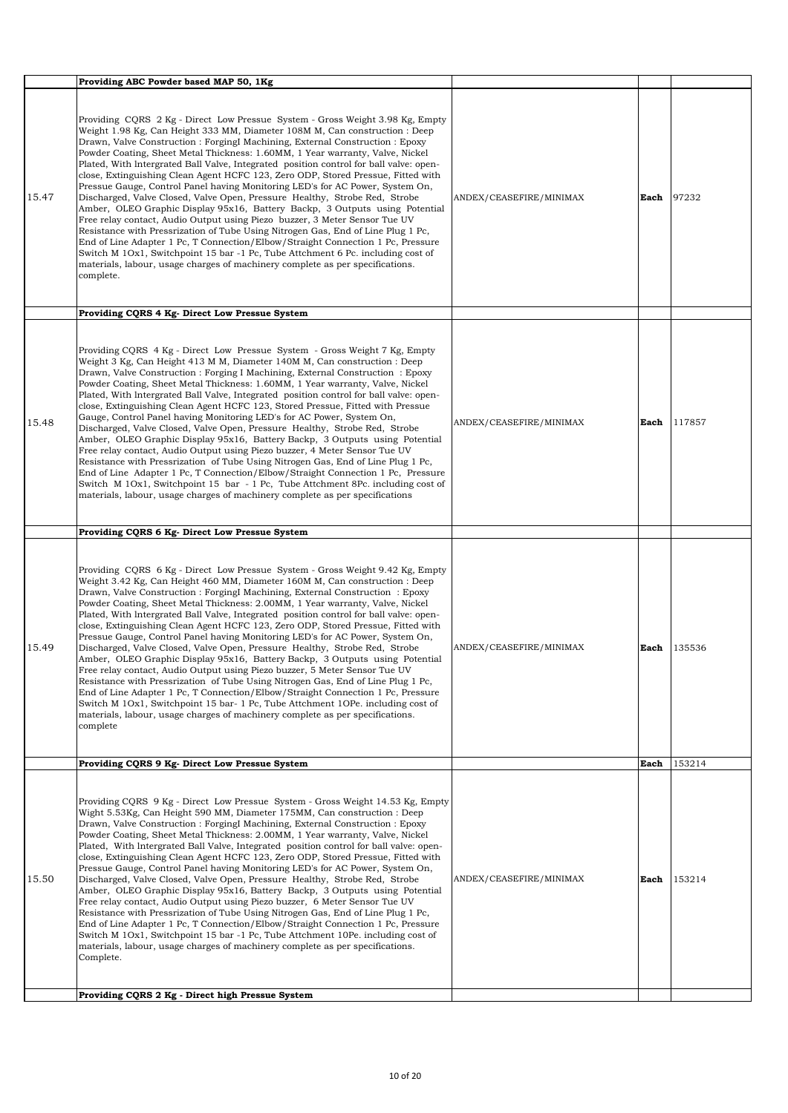| Providing ABC Powder based MAP 50, 1Kg                                                                                                                                                                                                                                                                                                                                                                                                                                                                                                                                                                                                                                                                                                                                                                                                                                                                                                                                                                                                                                                                                                                                                                                               |      |        |
|--------------------------------------------------------------------------------------------------------------------------------------------------------------------------------------------------------------------------------------------------------------------------------------------------------------------------------------------------------------------------------------------------------------------------------------------------------------------------------------------------------------------------------------------------------------------------------------------------------------------------------------------------------------------------------------------------------------------------------------------------------------------------------------------------------------------------------------------------------------------------------------------------------------------------------------------------------------------------------------------------------------------------------------------------------------------------------------------------------------------------------------------------------------------------------------------------------------------------------------|------|--------|
| Providing CQRS 2 Kg - Direct Low Pressue System - Gross Weight 3.98 Kg, Empty<br>Weight 1.98 Kg, Can Height 333 MM, Diameter 108M M, Can construction : Deep<br>Drawn, Valve Construction : ForgingI Machining, External Construction : Epoxy<br>Powder Coating, Sheet Metal Thickness: 1.60MM, 1 Year warranty, Valve, Nickel<br>Plated, With Intergrated Ball Valve, Integrated position control for ball valve: open-<br>close, Extinguishing Clean Agent HCFC 123, Zero ODP, Stored Pressue, Fitted with<br>Pressue Gauge, Control Panel having Monitoring LED's for AC Power, System On,<br>15.47<br>Discharged, Valve Closed, Valve Open, Pressure Healthy, Strobe Red, Strobe<br>ANDEX/CEASEFIRE/MINIMAX<br>Amber, OLEO Graphic Display 95x16, Battery Backp, 3 Outputs using Potential<br>Free relay contact, Audio Output using Piezo buzzer, 3 Meter Sensor Tue UV<br>Resistance with Pressrization of Tube Using Nitrogen Gas, End of Line Plug 1 Pc,<br>End of Line Adapter 1 Pc, T Connection/Elbow/Straight Connection 1 Pc, Pressure<br>Switch M 10x1, Switchpoint 15 bar -1 Pc, Tube Attchment 6 Pc. including cost of<br>materials, labour, usage charges of machinery complete as per specifications.<br>complete. | Each | 97232  |
| Providing CQRS 4 Kg- Direct Low Pressue System                                                                                                                                                                                                                                                                                                                                                                                                                                                                                                                                                                                                                                                                                                                                                                                                                                                                                                                                                                                                                                                                                                                                                                                       |      |        |
| Providing CQRS 4 Kg - Direct Low Pressue System - Gross Weight 7 Kg, Empty<br>Weight 3 Kg, Can Height 413 M M, Diameter 140M M, Can construction : Deep<br>Drawn, Valve Construction : Forging I Machining, External Construction : Epoxy<br>Powder Coating, Sheet Metal Thickness: 1.60MM, 1 Year warranty, Valve, Nickel<br>Plated, With Intergrated Ball Valve, Integrated position control for ball valve: open-<br>close, Extinguishing Clean Agent HCFC 123, Stored Pressue, Fitted with Pressue<br>Gauge, Control Panel having Monitoring LED's for AC Power, System On,<br>15.48<br>ANDEX/CEASEFIRE/MINIMAX<br>Discharged, Valve Closed, Valve Open, Pressure Healthy, Strobe Red, Strobe<br>Amber, OLEO Graphic Display 95x16, Battery Backp, 3 Outputs using Potential<br>Free relay contact, Audio Output using Piezo buzzer, 4 Meter Sensor Tue UV<br>Resistance with Pressrization of Tube Using Nitrogen Gas, End of Line Plug 1 Pc,<br>End of Line Adapter 1 Pc, T Connection/Elbow/Straight Connection 1 Pc, Pressure<br>Switch M 10x1, Switchpoint 15 bar - 1 Pc, Tube Attchment 8Pc. including cost of<br>materials, labour, usage charges of machinery complete as per specifications                             | Each | 117857 |
| Providing CQRS 6 Kg- Direct Low Pressue System                                                                                                                                                                                                                                                                                                                                                                                                                                                                                                                                                                                                                                                                                                                                                                                                                                                                                                                                                                                                                                                                                                                                                                                       |      |        |
| Providing CQRS 6 Kg - Direct Low Pressue System - Gross Weight 9.42 Kg, Empty<br>Weight 3.42 Kg, Can Height 460 MM, Diameter 160M M, Can construction : Deep<br>Drawn, Valve Construction : Forging IMachining, External Construction : Epoxy<br>Powder Coating, Sheet Metal Thickness: 2.00MM, 1 Year warranty, Valve, Nickel<br>Plated, With Intergrated Ball Valve, Integrated position control for ball valve: open-<br>close, Extinguishing Clean Agent HCFC 123, Zero ODP, Stored Pressue, Fitted with<br>Pressue Gauge, Control Panel having Monitoring LED's for AC Power, System On,<br>15.49<br>Discharged, Valve Closed, Valve Open, Pressure Healthy, Strobe Red, Strobe<br>ANDEX/CEASEFIRE/MINIMAX<br>Amber, OLEO Graphic Display 95x16, Battery Backp, 3 Outputs using Potential<br>Free relay contact, Audio Output using Piezo buzzer, 5 Meter Sensor Tue UV<br>Resistance with Pressrization of Tube Using Nitrogen Gas, End of Line Plug 1 Pc,<br>End of Line Adapter 1 Pc, T Connection/Elbow/Straight Connection 1 Pc, Pressure<br>Switch M 10x1, Switchpoint 15 bar-1 Pc, Tube Attchment 10Pe. including cost of<br>materials, labour, usage charges of machinery complete as per specifications.<br>complete   | Each | 135536 |
| Providing CQRS 9 Kg- Direct Low Pressue System                                                                                                                                                                                                                                                                                                                                                                                                                                                                                                                                                                                                                                                                                                                                                                                                                                                                                                                                                                                                                                                                                                                                                                                       | Each | 153214 |
| Providing CORS 9 Kg - Direct Low Pressue System - Gross Weight 14.53 Kg, Empty<br>Wight 5.53Kg, Can Height 590 MM, Diameter 175MM, Can construction : Deep<br>Drawn, Valve Construction : ForgingI Machining, External Construction : Epoxy<br>Powder Coating, Sheet Metal Thickness: 2.00MM, 1 Year warranty, Valve, Nickel<br>Plated, With Intergrated Ball Valve, Integrated position control for ball valve: open-<br>close, Extinguishing Clean Agent HCFC 123, Zero ODP, Stored Pressue, Fitted with<br>Pressue Gauge, Control Panel having Monitoring LED's for AC Power, System On,<br>15.50<br>Discharged, Valve Closed, Valve Open, Pressure Healthy, Strobe Red, Strobe<br>ANDEX/CEASEFIRE/MINIMAX<br>Amber, OLEO Graphic Display 95x16, Battery Backp, 3 Outputs using Potential<br>Free relay contact, Audio Output using Piezo buzzer, 6 Meter Sensor Tue UV<br>Resistance with Pressrization of Tube Using Nitrogen Gas, End of Line Plug 1 Pc,<br>End of Line Adapter 1 Pc, T Connection/Elbow/Straight Connection 1 Pc, Pressure<br>Switch M 10x1, Switchpoint 15 bar -1 Pc, Tube Attchment 10Pe. including cost of<br>materials, labour, usage charges of machinery complete as per specifications.<br>Complete.   | Each | 153214 |
|                                                                                                                                                                                                                                                                                                                                                                                                                                                                                                                                                                                                                                                                                                                                                                                                                                                                                                                                                                                                                                                                                                                                                                                                                                      |      |        |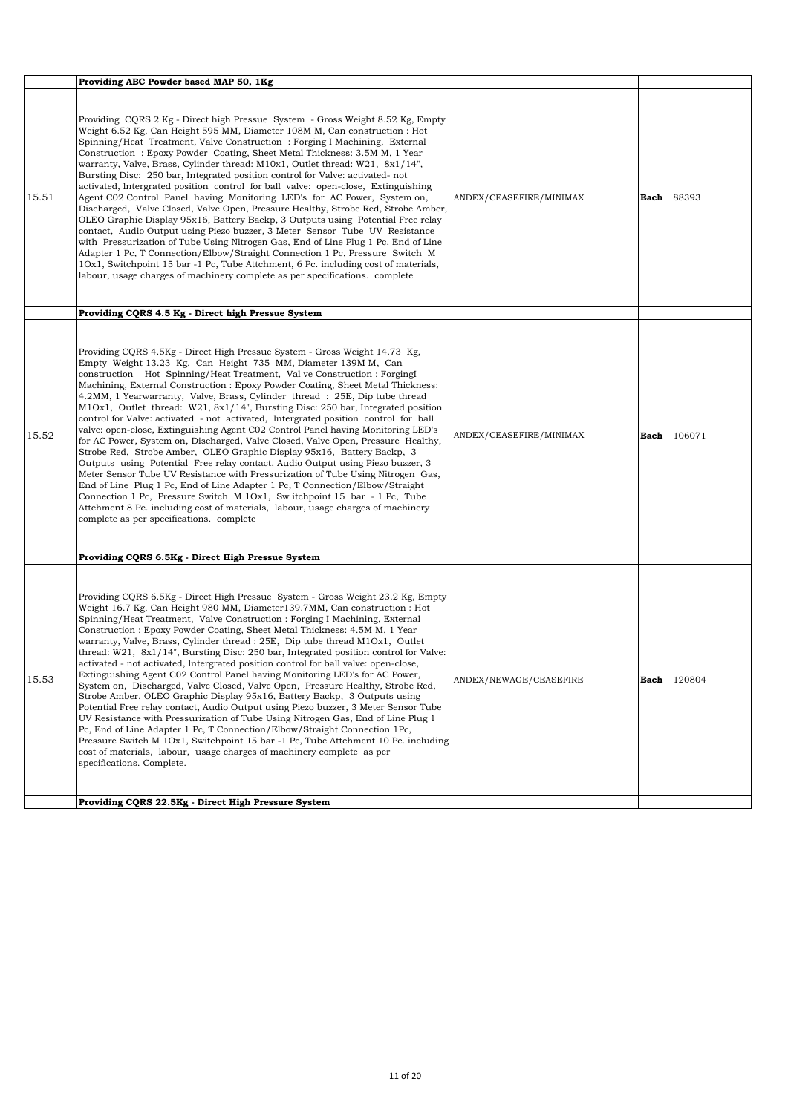|       | Providing ABC Powder based MAP 50, 1Kg                                                                                                                                                                                                                                                                                                                                                                                                                                                                                                                                                                                                                                                                                                                                                                                                                                                                                                                                                                                                                                                                                                                                                                                                                                                                                                                                                                |                         |      |        |
|-------|-------------------------------------------------------------------------------------------------------------------------------------------------------------------------------------------------------------------------------------------------------------------------------------------------------------------------------------------------------------------------------------------------------------------------------------------------------------------------------------------------------------------------------------------------------------------------------------------------------------------------------------------------------------------------------------------------------------------------------------------------------------------------------------------------------------------------------------------------------------------------------------------------------------------------------------------------------------------------------------------------------------------------------------------------------------------------------------------------------------------------------------------------------------------------------------------------------------------------------------------------------------------------------------------------------------------------------------------------------------------------------------------------------|-------------------------|------|--------|
| 15.51 | Providing CQRS 2 Kg - Direct high Pressue System - Gross Weight 8.52 Kg, Empty<br>Weight 6.52 Kg, Can Height 595 MM, Diameter 108M M, Can construction : Hot<br>Spinning/Heat Treatment, Valve Construction: Forging I Machining, External<br>Construction: Epoxy Powder Coating, Sheet Metal Thickness: 3.5M M, 1 Year<br>warranty, Valve, Brass, Cylinder thread: M10x1, Outlet thread: W21, 8x1/14",<br>Bursting Disc: 250 bar, Integrated position control for Valve: activated-not<br>activated, Intergrated position control for ball valve: open-close, Extinguishing<br>Agent C02 Control Panel having Monitoring LED's for AC Power, System on,<br>Discharged, Valve Closed, Valve Open, Pressure Healthy, Strobe Red, Strobe Amber,<br>OLEO Graphic Display 95x16, Battery Backp, 3 Outputs using Potential Free relay<br>contact, Audio Output using Piezo buzzer, 3 Meter Sensor Tube UV Resistance<br>with Pressurization of Tube Using Nitrogen Gas, End of Line Plug 1 Pc, End of Line<br>Adapter 1 Pc, T Connection/Elbow/Straight Connection 1 Pc, Pressure Switch M<br>10x1, Switchpoint 15 bar -1 Pc, Tube Attchment, 6 Pc. including cost of materials,<br>labour, usage charges of machinery complete as per specifications. complete                                                                                                                                            | ANDEX/CEASEFIRE/MINIMAX | Each | 88393  |
| 15.52 | Providing CQRS 4.5 Kg - Direct high Pressue System<br>Providing CQRS 4.5Kg - Direct High Pressue System - Gross Weight 14.73 Kg,<br>Empty Weight 13.23 Kg, Can Height 735 MM, Diameter 139M M, Can<br>construction Hot Spinning/Heat Treatment, Val ve Construction : ForgingI<br>Machining, External Construction : Epoxy Powder Coating, Sheet Metal Thickness:<br>4.2MM, 1 Yearwarranty, Valve, Brass, Cylinder thread: 25E, Dip tube thread<br>$M1Ox1$ , Outlet thread: W21, 8x1/14", Bursting Disc: 250 bar, Integrated position<br>control for Valve: activated - not activated, Intergrated position control for ball<br>valve: open-close, Extinguishing Agent C02 Control Panel having Monitoring LED's<br>for AC Power, System on, Discharged, Valve Closed, Valve Open, Pressure Healthy,<br>Strobe Red, Strobe Amber, OLEO Graphic Display 95x16, Battery Backp, 3<br>Outputs using Potential Free relay contact, Audio Output using Piezo buzzer, 3<br>Meter Sensor Tube UV Resistance with Pressurization of Tube Using Nitrogen Gas,<br>End of Line Plug 1 Pc, End of Line Adapter 1 Pc, T Connection/Elbow/Straight<br>Connection 1 Pc, Pressure Switch M 10x1, Sw itchpoint 15 bar - 1 Pc, Tube<br>Attchment 8 Pc. including cost of materials, labour, usage charges of machinery<br>complete as per specifications. complete                                                       | ANDEX/CEASEFIRE/MINIMAX | Each | 106071 |
| 15.53 | Providing CQRS 6.5Kg - Direct High Pressue System<br>Providing CQRS 6.5Kg - Direct High Pressue System - Gross Weight 23.2 Kg, Empty<br>Weight 16.7 Kg, Can Height 980 MM, Diameter 139.7MM, Can construction : Hot<br>Spinning/Heat Treatment, Valve Construction : Forging I Machining, External<br>Construction : Epoxy Powder Coating, Sheet Metal Thickness: 4.5M M, 1 Year<br>warranty, Valve, Brass, Cylinder thread : 25E, Dip tube thread M10x1, Outlet<br>thread: W21, 8x1/14", Bursting Disc: 250 bar, Integrated position control for Valve:<br>activated - not activated, Intergrated position control for ball valve: open-close,<br>Extinguishing Agent C02 Control Panel having Monitoring LED's for AC Power,<br>System on, Discharged, Valve Closed, Valve Open, Pressure Healthy, Strobe Red,<br>Strobe Amber, OLEO Graphic Display 95x16, Battery Backp, 3 Outputs using<br>Potential Free relay contact, Audio Output using Piezo buzzer, 3 Meter Sensor Tube<br>UV Resistance with Pressurization of Tube Using Nitrogen Gas, End of Line Plug 1<br>Pc, End of Line Adapter 1 Pc, T Connection/Elbow/Straight Connection 1Pc,<br>Pressure Switch M 10x1, Switchpoint 15 bar -1 Pc, Tube Attchment 10 Pc. including<br>cost of materials, labour, usage charges of machinery complete as per<br>specifications. Complete.<br>Providing CQRS 22.5Kg - Direct High Pressure System | ANDEX/NEWAGE/CEASEFIRE  | Each | 120804 |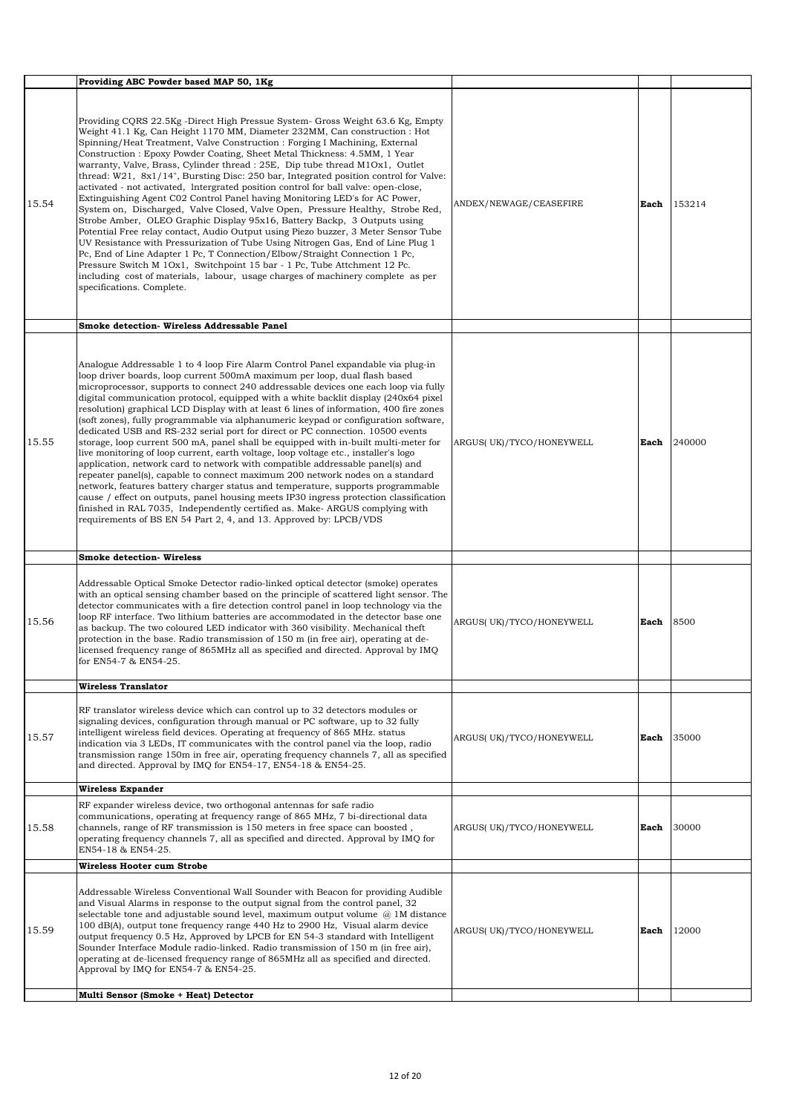|       | Providing ABC Powder based MAP 50, 1Kg                                                                                                                                                                                                                                                                                                                                                                                                                                                                                                                                                                                                                                                                                                                                                                                                                                                                                                                                                                                                                                                                                                                                                                                                                                                          |                          |      |        |
|-------|-------------------------------------------------------------------------------------------------------------------------------------------------------------------------------------------------------------------------------------------------------------------------------------------------------------------------------------------------------------------------------------------------------------------------------------------------------------------------------------------------------------------------------------------------------------------------------------------------------------------------------------------------------------------------------------------------------------------------------------------------------------------------------------------------------------------------------------------------------------------------------------------------------------------------------------------------------------------------------------------------------------------------------------------------------------------------------------------------------------------------------------------------------------------------------------------------------------------------------------------------------------------------------------------------|--------------------------|------|--------|
| 15.54 | Providing CQRS 22.5Kg -Direct High Pressue System- Gross Weight 63.6 Kg, Empty<br>Weight 41.1 Kg, Can Height 1170 MM, Diameter 232MM, Can construction : Hot<br>Spinning/Heat Treatment, Valve Construction : Forging I Machining, External<br>Construction : Epoxy Powder Coating, Sheet Metal Thickness: 4.5MM, 1 Year<br>warranty, Valve, Brass, Cylinder thread : 25E, Dip tube thread M10x1, Outlet<br>thread: W21, 8x1/14", Bursting Disc: 250 bar, Integrated position control for Valve:<br>activated - not activated, Intergrated position control for ball valve: open-close,<br>Extinguishing Agent C02 Control Panel having Monitoring LED's for AC Power,<br>System on, Discharged, Valve Closed, Valve Open, Pressure Healthy, Strobe Red,<br>Strobe Amber, OLEO Graphic Display 95x16, Battery Backp, 3 Outputs using<br>Potential Free relay contact, Audio Output using Piezo buzzer, 3 Meter Sensor Tube<br>UV Resistance with Pressurization of Tube Using Nitrogen Gas, End of Line Plug 1<br>Pc, End of Line Adapter 1 Pc, T Connection/Elbow/Straight Connection 1 Pc,<br>Pressure Switch M 10x1, Switchpoint 15 bar - 1 Pc, Tube Attchment 12 Pc.<br>including cost of materials, labour, usage charges of machinery complete as per<br>specifications. Complete.        | ANDEX/NEWAGE/CEASEFIRE   | Each | 153214 |
|       | Smoke detection- Wireless Addressable Panel                                                                                                                                                                                                                                                                                                                                                                                                                                                                                                                                                                                                                                                                                                                                                                                                                                                                                                                                                                                                                                                                                                                                                                                                                                                     |                          |      |        |
| 15.55 | Analogue Addressable 1 to 4 loop Fire Alarm Control Panel expandable via plug-in<br>loop driver boards, loop current 500mA maximum per loop, dual flash based<br>microprocessor, supports to connect 240 addressable devices one each loop via fully<br>digital communication protocol, equipped with a white backlit display (240x64 pixel)<br>resolution) graphical LCD Display with at least 6 lines of information, 400 fire zones<br>(soft zones), fully programmable via alphanumeric keypad or configuration software,<br>dedicated USB and RS-232 serial port for direct or PC connection. 10500 events<br>storage, loop current 500 mA, panel shall be equipped with in-built multi-meter for<br>live monitoring of loop current, earth voltage, loop voltage etc., installer's logo<br>application, network card to network with compatible addressable panel(s) and<br>repeater panel(s), capable to connect maximum 200 network nodes on a standard<br>network, features battery charger status and temperature, supports programmable<br>cause / effect on outputs, panel housing meets IP30 ingress protection classification<br>finished in RAL 7035, Independently certified as. Make-ARGUS complying with<br>requirements of BS EN 54 Part 2, 4, and 13. Approved by: LPCB/VDS | ARGUS(UK)/TYCO/HONEYWELL | Each | 240000 |
|       | <b>Smoke detection- Wireless</b>                                                                                                                                                                                                                                                                                                                                                                                                                                                                                                                                                                                                                                                                                                                                                                                                                                                                                                                                                                                                                                                                                                                                                                                                                                                                |                          |      |        |
| 15.56 | Addressable Optical Smoke Detector radio-linked optical detector (smoke) operates<br>with an optical sensing chamber based on the principle of scattered light sensor. The<br>detector communicates with a fire detection control panel in loop technology via the<br>loop RF interface. Two lithium batteries are accommodated in the detector base one<br>as backup. The two coloured LED indicator with 360 visibility. Mechanical theft<br>protection in the base. Radio transmission of 150 m (in free air), operating at de-<br>licensed frequency range of 865MHz all as specified and directed. Approval by IMQ<br>for EN54-7 & EN54-25.                                                                                                                                                                                                                                                                                                                                                                                                                                                                                                                                                                                                                                                | ARGUS(UK)/TYCO/HONEYWELL | Each | 8500   |
|       | <b>Wireless Translator</b>                                                                                                                                                                                                                                                                                                                                                                                                                                                                                                                                                                                                                                                                                                                                                                                                                                                                                                                                                                                                                                                                                                                                                                                                                                                                      |                          |      |        |
| 15.57 | RF translator wireless device which can control up to 32 detectors modules or<br>signaling devices, configuration through manual or PC software, up to 32 fully<br>intelligent wireless field devices. Operating at frequency of 865 MHz. status<br>indication via 3 LEDs, IT communicates with the control panel via the loop, radio<br>transmission range 150m in free air, operating frequency channels 7, all as specified<br>and directed. Approval by IMQ for EN54-17, EN54-18 & EN54-25.                                                                                                                                                                                                                                                                                                                                                                                                                                                                                                                                                                                                                                                                                                                                                                                                 | ARGUS(UK)/TYCO/HONEYWELL | Each | 35000  |
|       | Wireless Expander                                                                                                                                                                                                                                                                                                                                                                                                                                                                                                                                                                                                                                                                                                                                                                                                                                                                                                                                                                                                                                                                                                                                                                                                                                                                               |                          |      |        |
| 15.58 | RF expander wireless device, two orthogonal antennas for safe radio<br>communications, operating at frequency range of 865 MHz, 7 bi-directional data<br>channels, range of RF transmission is 150 meters in free space can boosted,<br>operating frequency channels 7, all as specified and directed. Approval by IMQ for<br>EN54-18 & EN54-25.                                                                                                                                                                                                                                                                                                                                                                                                                                                                                                                                                                                                                                                                                                                                                                                                                                                                                                                                                | ARGUS(UK)/TYCO/HONEYWELL | Each | 30000  |
|       | Wireless Hooter cum Strobe                                                                                                                                                                                                                                                                                                                                                                                                                                                                                                                                                                                                                                                                                                                                                                                                                                                                                                                                                                                                                                                                                                                                                                                                                                                                      |                          |      |        |
| 15.59 | Addressable Wireless Conventional Wall Sounder with Beacon for providing Audible<br>and Visual Alarms in response to the output signal from the control panel, 32<br>selectable tone and adjustable sound level, maximum output volume $\omega$ 1M distance<br>100 dB(A), output tone frequency range 440 Hz to 2900 Hz, Visual alarm device<br>output frequency 0.5 Hz, Approved by LPCB for EN 54-3 standard with Intelligent<br>Sounder Interface Module radio-linked. Radio transmission of 150 m (in free air),<br>operating at de-licensed frequency range of 865MHz all as specified and directed.<br>Approval by IMQ for EN54-7 & EN54-25.                                                                                                                                                                                                                                                                                                                                                                                                                                                                                                                                                                                                                                              | ARGUS(UK)/TYCO/HONEYWELL | Each | 12000  |
|       | Multi Sensor (Smoke + Heat) Detector                                                                                                                                                                                                                                                                                                                                                                                                                                                                                                                                                                                                                                                                                                                                                                                                                                                                                                                                                                                                                                                                                                                                                                                                                                                            |                          |      |        |
|       |                                                                                                                                                                                                                                                                                                                                                                                                                                                                                                                                                                                                                                                                                                                                                                                                                                                                                                                                                                                                                                                                                                                                                                                                                                                                                                 |                          |      |        |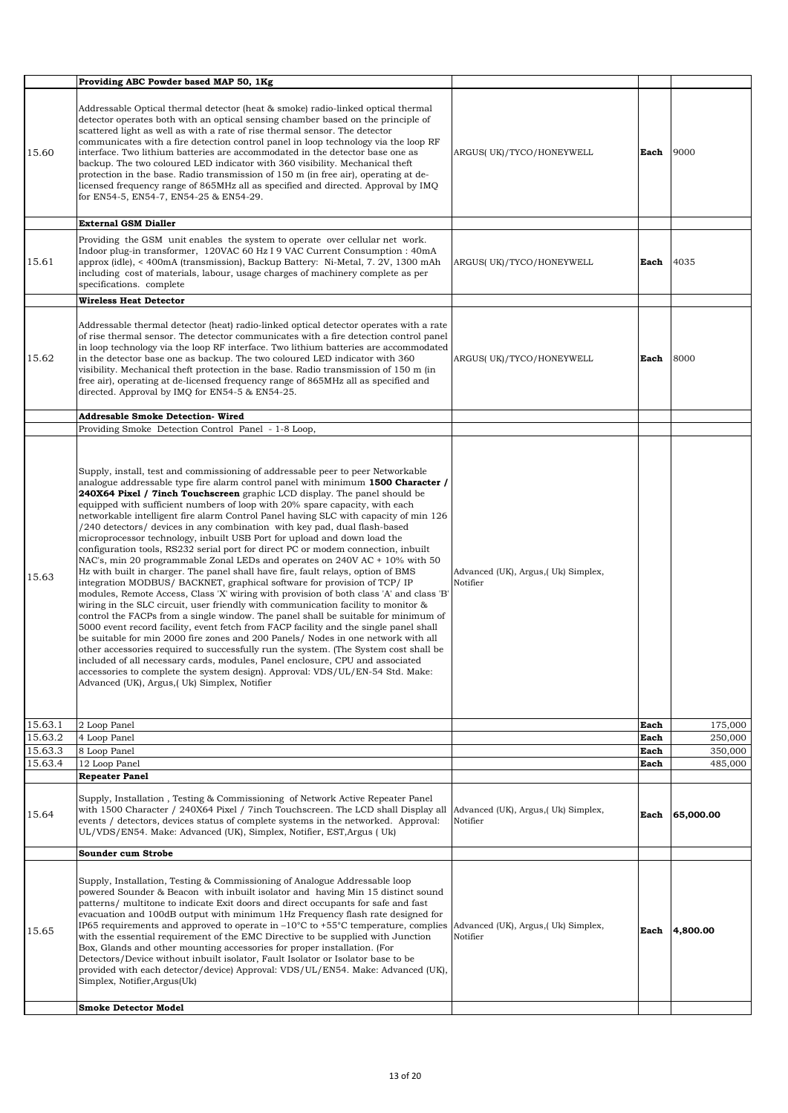|         | Providing ABC Powder based MAP 50, 1Kg                                                                                                                                                                                                                                                                                                                                                                                                                                                                                                                                                                                                                                                                                                                                                                                                                                                                                                                                                                                                                                                                                                                                                                                                                                                                                                                                                                                                                                                                                                                                                                                                                                             |                                                 |      |           |
|---------|------------------------------------------------------------------------------------------------------------------------------------------------------------------------------------------------------------------------------------------------------------------------------------------------------------------------------------------------------------------------------------------------------------------------------------------------------------------------------------------------------------------------------------------------------------------------------------------------------------------------------------------------------------------------------------------------------------------------------------------------------------------------------------------------------------------------------------------------------------------------------------------------------------------------------------------------------------------------------------------------------------------------------------------------------------------------------------------------------------------------------------------------------------------------------------------------------------------------------------------------------------------------------------------------------------------------------------------------------------------------------------------------------------------------------------------------------------------------------------------------------------------------------------------------------------------------------------------------------------------------------------------------------------------------------------|-------------------------------------------------|------|-----------|
| 15.60   | Addressable Optical thermal detector (heat & smoke) radio-linked optical thermal<br>detector operates both with an optical sensing chamber based on the principle of<br>scattered light as well as with a rate of rise thermal sensor. The detector<br>communicates with a fire detection control panel in loop technology via the loop RF<br>interface. Two lithium batteries are accommodated in the detector base one as<br>backup. The two coloured LED indicator with 360 visibility. Mechanical theft<br>protection in the base. Radio transmission of 150 m (in free air), operating at de-<br>licensed frequency range of 865MHz all as specified and directed. Approval by IMQ<br>for EN54-5, EN54-7, EN54-25 & EN54-29.                                                                                                                                                                                                                                                                                                                                                                                                                                                                                                                                                                                                                                                                                                                                                                                                                                                                                                                                                  | ARGUS(UK)/TYCO/HONEYWELL                        | Each | 9000      |
|         | <b>External GSM Dialler</b>                                                                                                                                                                                                                                                                                                                                                                                                                                                                                                                                                                                                                                                                                                                                                                                                                                                                                                                                                                                                                                                                                                                                                                                                                                                                                                                                                                                                                                                                                                                                                                                                                                                        |                                                 |      |           |
| 15.61   | Providing the GSM unit enables the system to operate over cellular net work.<br>Indoor plug-in transformer, 120VAC 60 Hz I 9 VAC Current Consumption : 40mA<br>approx (idle), < 400mA (transmission), Backup Battery: Ni-Metal, 7. 2V, 1300 mAh<br>including cost of materials, labour, usage charges of machinery complete as per<br>specifications. complete                                                                                                                                                                                                                                                                                                                                                                                                                                                                                                                                                                                                                                                                                                                                                                                                                                                                                                                                                                                                                                                                                                                                                                                                                                                                                                                     | ARGUS(UK)/TYCO/HONEYWELL                        | Each | 4035      |
|         | <b>Wireless Heat Detector</b>                                                                                                                                                                                                                                                                                                                                                                                                                                                                                                                                                                                                                                                                                                                                                                                                                                                                                                                                                                                                                                                                                                                                                                                                                                                                                                                                                                                                                                                                                                                                                                                                                                                      |                                                 |      |           |
| 15.62   | Addressable thermal detector (heat) radio-linked optical detector operates with a rate<br>of rise thermal sensor. The detector communicates with a fire detection control panel<br>in loop technology via the loop RF interface. Two lithium batteries are accommodated<br>in the detector base one as backup. The two coloured LED indicator with 360<br>visibility. Mechanical theft protection in the base. Radio transmission of 150 m (in<br>free air), operating at de-licensed frequency range of 865MHz all as specified and<br>directed. Approval by IMQ for EN54-5 & EN54-25.                                                                                                                                                                                                                                                                                                                                                                                                                                                                                                                                                                                                                                                                                                                                                                                                                                                                                                                                                                                                                                                                                            | ARGUS(UK)/TYCO/HONEYWELL                        | Each | 8000      |
|         | <b>Addresable Smoke Detection- Wired</b>                                                                                                                                                                                                                                                                                                                                                                                                                                                                                                                                                                                                                                                                                                                                                                                                                                                                                                                                                                                                                                                                                                                                                                                                                                                                                                                                                                                                                                                                                                                                                                                                                                           |                                                 |      |           |
|         | Providing Smoke Detection Control Panel - 1-8 Loop,                                                                                                                                                                                                                                                                                                                                                                                                                                                                                                                                                                                                                                                                                                                                                                                                                                                                                                                                                                                                                                                                                                                                                                                                                                                                                                                                                                                                                                                                                                                                                                                                                                |                                                 |      |           |
| 15.63   | Supply, install, test and commissioning of addressable peer to peer Networkable<br>analogue addressable type fire alarm control panel with minimum 1500 Character /<br>240X64 Pixel / 7inch Touchscreen graphic LCD display. The panel should be<br>equipped with sufficient numbers of loop with 20% spare capacity, with each<br>networkable intelligent fire alarm Control Panel having SLC with capacity of min 126<br>/240 detectors/ devices in any combination with key pad, dual flash-based<br>microprocessor technology, inbuilt USB Port for upload and down load the<br>configuration tools, RS232 serial port for direct PC or modem connection, inbuilt<br>NAC's, min 20 programmable Zonal LEDs and operates on 240V AC + 10% with 50<br>Hz with built in charger. The panel shall have fire, fault relays, option of BMS<br>integration MODBUS/ BACKNET, graphical software for provision of TCP/ IP<br>modules, Remote Access, Class 'X' wiring with provision of both class 'A' and class 'B'<br>wiring in the SLC circuit, user friendly with communication facility to monitor &<br>control the FACPs from a single window. The panel shall be suitable for minimum of<br>5000 event record facility, event fetch from FACP facility and the single panel shall<br>be suitable for min 2000 fire zones and 200 Panels/ Nodes in one network with all<br>other accessories required to successfully run the system. (The System cost shall be<br>included of all necessary cards, modules, Panel enclosure, CPU and associated<br>accessories to complete the system design). Approval: VDS/UL/EN-54 Std. Make:<br>Advanced (UK), Argus, (Uk) Simplex, Notifier | Advanced (UK), Argus, (Uk) Simplex,<br>Notifier |      |           |
| 15.63.1 | 2 Loop Panel                                                                                                                                                                                                                                                                                                                                                                                                                                                                                                                                                                                                                                                                                                                                                                                                                                                                                                                                                                                                                                                                                                                                                                                                                                                                                                                                                                                                                                                                                                                                                                                                                                                                       |                                                 | Each | 175,000   |
| 15.63.2 | 4 Loop Panel                                                                                                                                                                                                                                                                                                                                                                                                                                                                                                                                                                                                                                                                                                                                                                                                                                                                                                                                                                                                                                                                                                                                                                                                                                                                                                                                                                                                                                                                                                                                                                                                                                                                       |                                                 | Each | 250,000   |
| 15.63.3 | 8 Loop Panel                                                                                                                                                                                                                                                                                                                                                                                                                                                                                                                                                                                                                                                                                                                                                                                                                                                                                                                                                                                                                                                                                                                                                                                                                                                                                                                                                                                                                                                                                                                                                                                                                                                                       |                                                 | Each | 350,000   |
| 15.63.4 | 12 Loop Panel<br><b>Repeater Panel</b>                                                                                                                                                                                                                                                                                                                                                                                                                                                                                                                                                                                                                                                                                                                                                                                                                                                                                                                                                                                                                                                                                                                                                                                                                                                                                                                                                                                                                                                                                                                                                                                                                                             |                                                 | Each | 485,000   |
| 15.64   | Supply, Installation, Testing & Commissioning of Network Active Repeater Panel<br>with 1500 Character / 240X64 Pixel / 7inch Touchscreen. The LCD shall Display all<br>events / detectors, devices status of complete systems in the networked. Approval:<br>UL/VDS/EN54. Make: Advanced (UK), Simplex, Notifier, EST, Argus (Uk)                                                                                                                                                                                                                                                                                                                                                                                                                                                                                                                                                                                                                                                                                                                                                                                                                                                                                                                                                                                                                                                                                                                                                                                                                                                                                                                                                  | Advanced (UK), Argus,( Uk) Simplex,<br>Notifier | Each | 65,000.00 |
|         | Sounder cum Strobe                                                                                                                                                                                                                                                                                                                                                                                                                                                                                                                                                                                                                                                                                                                                                                                                                                                                                                                                                                                                                                                                                                                                                                                                                                                                                                                                                                                                                                                                                                                                                                                                                                                                 |                                                 |      |           |
| 15.65   | Supply, Installation, Testing & Commissioning of Analogue Addressable loop<br>powered Sounder & Beacon with inbuilt isolator and having Min 15 distinct sound<br>patterns/ multitione to indicate Exit doors and direct occupants for safe and fast<br>evacuation and 100dB output with minimum 1Hz Frequency flash rate designed for<br>IP65 requirements and approved to operate in $-10^{\circ}$ C to $+55^{\circ}$ C temperature, complies<br>with the essential requirement of the EMC Directive to be supplied with Junction<br>Box, Glands and other mounting accessories for proper installation. (For<br>Detectors/Device without inbuilt isolator, Fault Isolator or Isolator base to be<br>provided with each detector/device) Approval: VDS/UL/EN54. Make: Advanced (UK),<br>Simplex, Notifier, Argus(Uk)                                                                                                                                                                                                                                                                                                                                                                                                                                                                                                                                                                                                                                                                                                                                                                                                                                                              | Advanced (UK), Argus,( Uk) Simplex,<br>Notifier | Each | 4,800.00  |
|         | <b>Smoke Detector Model</b>                                                                                                                                                                                                                                                                                                                                                                                                                                                                                                                                                                                                                                                                                                                                                                                                                                                                                                                                                                                                                                                                                                                                                                                                                                                                                                                                                                                                                                                                                                                                                                                                                                                        |                                                 |      |           |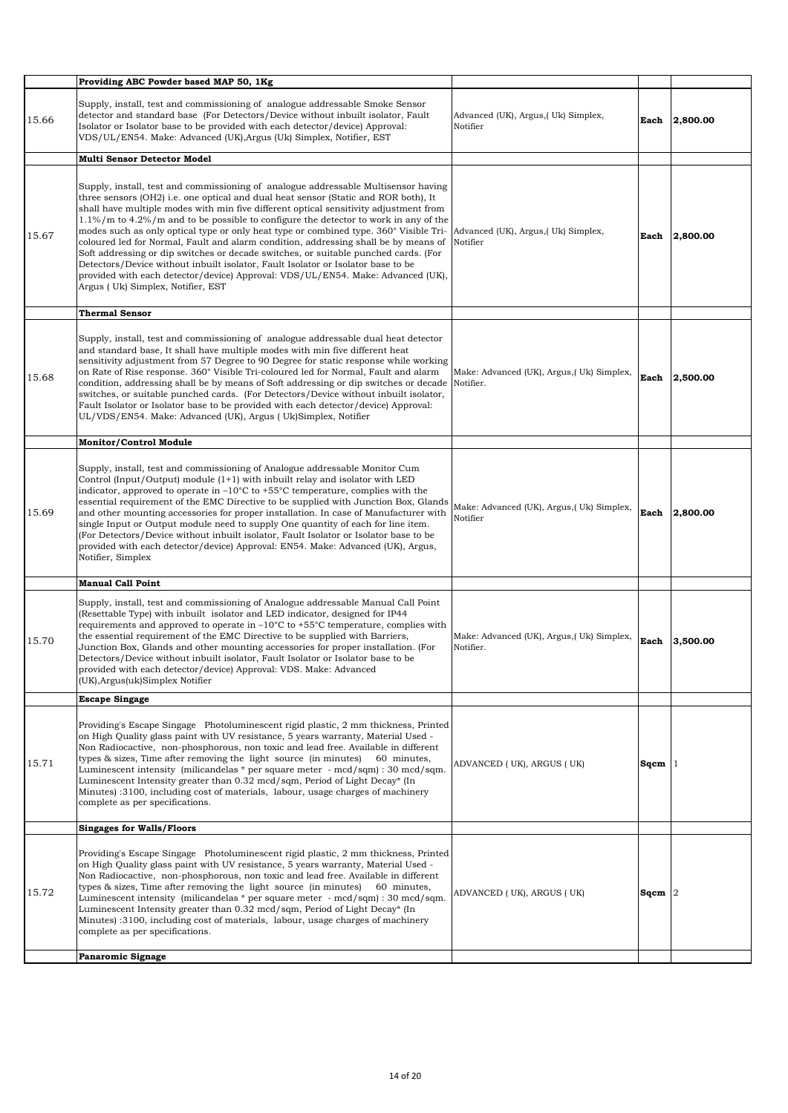|       | Providing ABC Powder based MAP 50, 1Kg                                                                                                                                                                                                                                                                                                                                                                                                                                                                                                                                                                                                                                                                                                                                                                                                                      |                                                        |           |          |
|-------|-------------------------------------------------------------------------------------------------------------------------------------------------------------------------------------------------------------------------------------------------------------------------------------------------------------------------------------------------------------------------------------------------------------------------------------------------------------------------------------------------------------------------------------------------------------------------------------------------------------------------------------------------------------------------------------------------------------------------------------------------------------------------------------------------------------------------------------------------------------|--------------------------------------------------------|-----------|----------|
| 15.66 | Supply, install, test and commissioning of analogue addressable Smoke Sensor<br>detector and standard base (For Detectors/Device without inbuilt isolator, Fault<br>Isolator or Isolator base to be provided with each detector/device) Approval:<br>VDS/UL/EN54. Make: Advanced (UK), Argus (Uk) Simplex, Notifier, EST                                                                                                                                                                                                                                                                                                                                                                                                                                                                                                                                    | Advanced (UK), Argus, (Uk) Simplex,<br>Notifier        | Each      | 2,800.00 |
|       | <b>Multi Sensor Detector Model</b>                                                                                                                                                                                                                                                                                                                                                                                                                                                                                                                                                                                                                                                                                                                                                                                                                          |                                                        |           |          |
| 15.67 | Supply, install, test and commissioning of analogue addressable Multisensor having<br>three sensors (OH2) <i>i.e.</i> one optical and dual heat sensor (Static and ROR both), It<br>shall have multiple modes with min five different optical sensitivity adjustment from<br>$1.1\%$ /m to $4.2\%$ /m and to be possible to configure the detector to work in any of the<br>modes such as only optical type or only heat type or combined type. 360° Visible Tri-<br>coloured led for Normal, Fault and alarm condition, addressing shall be by means of<br>Soft addressing or dip switches or decade switches, or suitable punched cards. (For<br>Detectors/Device without inbuilt isolator, Fault Isolator or Isolator base to be<br>provided with each detector/device) Approval: VDS/UL/EN54. Make: Advanced (UK),<br>Argus (Uk) Simplex, Notifier, EST | Advanced (UK), Argus, (Uk) Simplex,<br>Notifier        | Each      | 2.800.00 |
|       | <b>Thermal Sensor</b>                                                                                                                                                                                                                                                                                                                                                                                                                                                                                                                                                                                                                                                                                                                                                                                                                                       |                                                        |           |          |
| 15.68 | Supply, install, test and commissioning of analogue addressable dual heat detector<br>and standard base, It shall have multiple modes with min five different heat<br>sensitivity adjustment from 57 Degree to 90 Degree for static response while working<br>on Rate of Rise response. 360° Visible Tri-coloured led for Normal, Fault and alarm<br>condition, addressing shall be by means of Soft addressing or dip switches or decade<br>switches, or suitable punched cards. (For Detectors/Device without inbuilt isolator,<br>Fault Isolator or Isolator base to be provided with each detector/device) Approval:<br>UL/VDS/EN54. Make: Advanced (UK), Argus (Uk)Simplex, Notifier                                                                                                                                                                   | Make: Advanced (UK), Argus, (Uk) Simplex,<br>Notifier. | Each      | 2,500.00 |
|       | <b>Monitor/Control Module</b>                                                                                                                                                                                                                                                                                                                                                                                                                                                                                                                                                                                                                                                                                                                                                                                                                               |                                                        |           |          |
| 15.69 | Supply, install, test and commissioning of Analogue addressable Monitor Cum<br>Control (Input/Output) module $(1+1)$ with inbuilt relay and isolator with LED<br>indicator, approved to operate in -10°C to +55°C temperature, complies with the<br>essential requirement of the EMC Directive to be supplied with Junction Box, Glands<br>and other mounting accessories for proper installation. In case of Manufacturer with<br>single Input or Output module need to supply One quantity of each for line item.<br>(For Detectors/Device without inbuilt isolator, Fault Isolator or Isolator base to be<br>provided with each detector/device) Approval: EN54. Make: Advanced (UK), Argus,<br>Notifier, Simplex                                                                                                                                        | Make: Advanced (UK), Argus, (Uk) Simplex,<br>Notifier  | Each      | 2,800.00 |
|       | <b>Manual Call Point</b>                                                                                                                                                                                                                                                                                                                                                                                                                                                                                                                                                                                                                                                                                                                                                                                                                                    |                                                        |           |          |
| 15.70 | Supply, install, test and commissioning of Analogue addressable Manual Call Point<br>(Resettable Type) with inbuilt isolator and LED indicator, designed for IP44<br>requirements and approved to operate in $-10^{\circ}$ C to $+55^{\circ}$ C temperature, complies with<br>the essential requirement of the EMC Directive to be supplied with Barriers,<br>Junction Box, Glands and other mounting accessories for proper installation. (For<br>Detectors/Device without inbuilt isolator, Fault Isolator or Isolator base to be<br>provided with each detector/device) Approval: VDS. Make: Advanced<br>(UK), Argus(uk) Simplex Notifier                                                                                                                                                                                                                | Make: Advanced (UK), Argus, (Uk) Simplex,<br>Notifier. | Each      | 3,500.00 |
|       | <b>Escape Singage</b>                                                                                                                                                                                                                                                                                                                                                                                                                                                                                                                                                                                                                                                                                                                                                                                                                                       |                                                        |           |          |
| 15.71 | Providing's Escape Singage Photoluminescent rigid plastic, 2 mm thickness, Printed<br>on High Quality glass paint with UV resistance, 5 years warranty, Material Used -<br>Non Radiocactive, non-phosphorous, non toxic and lead free. Available in different<br>types & sizes, Time after removing the light source (in minutes)<br>60 minutes,<br>Luminescent intensity (milicandelas * per square meter - mcd/sqm) : 30 mcd/sqm.<br>Luminescent Intensity greater than 0.32 mcd/sqm, Period of Light Decay* (In<br>Minutes) :3100, including cost of materials, labour, usage charges of machinery<br>complete as per specifications.                                                                                                                                                                                                                    | ADVANCED (UK), ARGUS (UK)                              | Sqcm $ 1$ |          |
|       | <b>Singages for Walls/Floors</b>                                                                                                                                                                                                                                                                                                                                                                                                                                                                                                                                                                                                                                                                                                                                                                                                                            |                                                        |           |          |
| 15.72 | Providing's Escape Singage Photoluminescent rigid plastic, 2 mm thickness, Printed<br>on High Quality glass paint with UV resistance, 5 years warranty, Material Used -<br>Non Radiocactive, non-phosphorous, non toxic and lead free. Available in different<br>types & sizes, Time after removing the light source (in minutes)<br>60 minutes,<br>Luminescent intensity (milicandelas $*$ per square meter - mcd/sqm) : 30 mcd/sqm.<br>Luminescent Intensity greater than 0.32 mcd/sqm, Period of Light Decay* (In<br>Minutes) :3100, including cost of materials, labour, usage charges of machinery<br>complete as per specifications.                                                                                                                                                                                                                  | ADVANCED (UK), ARGUS (UK)                              | $Sqcm$ 2  |          |
|       | <b>Panaromic Signage</b>                                                                                                                                                                                                                                                                                                                                                                                                                                                                                                                                                                                                                                                                                                                                                                                                                                    |                                                        |           |          |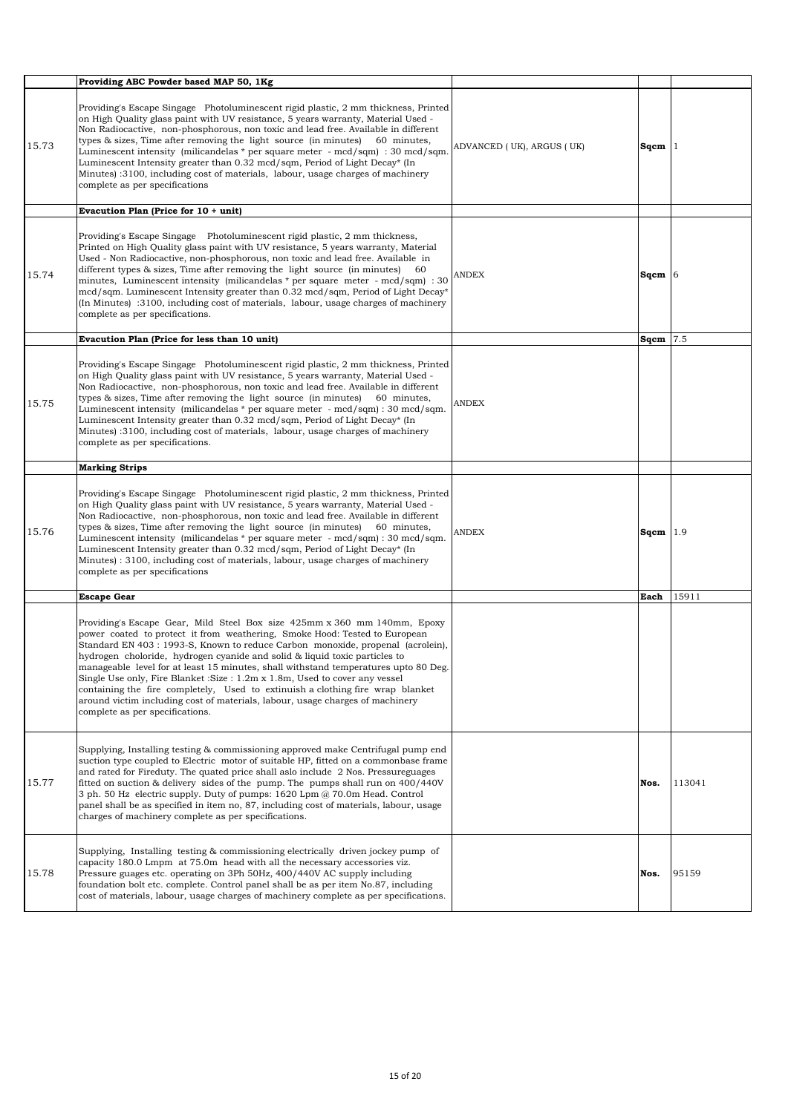|       | Providing ABC Powder based MAP 50, 1Kg                                                                                                                                                                                                                                                                                                                                                                                                                                                                                                                                                                                                                                                             |                           |             |        |
|-------|----------------------------------------------------------------------------------------------------------------------------------------------------------------------------------------------------------------------------------------------------------------------------------------------------------------------------------------------------------------------------------------------------------------------------------------------------------------------------------------------------------------------------------------------------------------------------------------------------------------------------------------------------------------------------------------------------|---------------------------|-------------|--------|
| 15.73 | Providing's Escape Singage Photoluminescent rigid plastic, 2 mm thickness, Printed<br>on High Quality glass paint with UV resistance, 5 years warranty, Material Used -<br>Non Radiocactive, non-phosphorous, non toxic and lead free. Available in different<br>types & sizes, Time after removing the light source (in minutes) 60 minutes,<br>Luminescent intensity (milicandelas * per square meter - mcd/sqm) : 30 mcd/sqm.<br>Luminescent Intensity greater than 0.32 mcd/sqm, Period of Light Decay* (In<br>Minutes) :3100, including cost of materials, labour, usage charges of machinery<br>complete as per specifications                                                               | ADVANCED (UK), ARGUS (UK) | $Sqcm$ 1    |        |
|       | Evacution Plan (Price for $10 + \text{unit}$ )                                                                                                                                                                                                                                                                                                                                                                                                                                                                                                                                                                                                                                                     |                           |             |        |
| 15.74 | Providing's Escape Singage Photoluminescent rigid plastic, 2 mm thickness,<br>Printed on High Quality glass paint with UV resistance, 5 years warranty, Material<br>Used - Non Radiocactive, non-phosphorous, non toxic and lead free. Available in<br>different types & sizes, Time after removing the light source (in minutes)<br>-60<br>minutes, Luminescent intensity (milicandelas $*$ per square meter - mcd/sqm) : 30<br>mcd/sqm. Luminescent Intensity greater than 0.32 mcd/sqm, Period of Light Decay*<br>(In Minutes) :3100, including cost of materials, labour, usage charges of machinery<br>complete as per specifications.                                                        | ANDEX                     | $Sqcm$ 6    |        |
|       | Evacution Plan (Price for less than 10 unit)                                                                                                                                                                                                                                                                                                                                                                                                                                                                                                                                                                                                                                                       |                           | Sqcm        | 7.5    |
| 15.75 | Providing's Escape Singage Photoluminescent rigid plastic, 2 mm thickness, Printed<br>on High Quality glass paint with UV resistance, 5 years warranty, Material Used -<br>Non Radiocactive, non-phosphorous, non toxic and lead free. Available in different<br>types & sizes, Time after removing the light source (in minutes) 60 minutes,<br>Luminescent intensity (milicandelas * per square meter - mcd/sqm) : 30 mcd/sqm.<br>Luminescent Intensity greater than 0.32 mcd/sqm, Period of Light Decay* (In<br>Minutes) :3100, including cost of materials, labour, usage charges of machinery<br>complete as per specifications.                                                              | <b>ANDEX</b>              |             |        |
|       | <b>Marking Strips</b>                                                                                                                                                                                                                                                                                                                                                                                                                                                                                                                                                                                                                                                                              |                           |             |        |
| 15.76 | Providing's Escape Singage Photoluminescent rigid plastic, 2 mm thickness, Printed<br>on High Quality glass paint with UV resistance, 5 years warranty, Material Used -<br>Non Radiocactive, non-phosphorous, non toxic and lead free. Available in different<br>types & sizes, Time after removing the light source (in minutes)<br>60 minutes,<br>Luminescent intensity (milicandelas * per square meter - mcd/sqm) : 30 mcd/sqm.<br>Luminescent Intensity greater than 0.32 mcd/sqm, Period of Light Decay* (In<br>Minutes): 3100, including cost of materials, labour, usage charges of machinery<br>complete as per specifications                                                            | ANDEX                     | Sqcm $ 1.9$ |        |
|       | <b>Escape Gear</b>                                                                                                                                                                                                                                                                                                                                                                                                                                                                                                                                                                                                                                                                                 |                           | Each        | 15911  |
|       | Providing's Escape Gear, Mild Steel Box size 425mm x 360 mm 140mm, Epoxy<br>power coated to protect it from weathering, Smoke Hood: Tested to European<br>Standard EN 403 : 1993-S, Known to reduce Carbon monoxide, propenal (acrolein),<br>hydrogen choloride, hydrogen cyanide and solid & liquid toxic particles to<br>manageable level for at least 15 minutes, shall withstand temperatures upto 80 Deg.<br>Single Use only, Fire Blanket: Size: 1.2m x 1.8m, Used to cover any vessel<br>containing the fire completely. Used to extinuish a clothing fire wrap blanket<br>around victim including cost of materials, labour, usage charges of machinery<br>complete as per specifications. |                           |             |        |
| 15.77 | Supplying, Installing testing & commissioning approved make Centrifugal pump end<br>suction type coupled to Electric motor of suitable HP, fitted on a commonbase frame<br>and rated for Fireduty. The quated price shall aslo include 2 Nos. Pressureguages<br>fitted on suction & delivery sides of the pump. The pumps shall run on 400/440V<br>3 ph. 50 Hz electric supply. Duty of pumps: 1620 Lpm @ 70.0m Head. Control<br>panel shall be as specified in item no, 87, including cost of materials, labour, usage<br>charges of machinery complete as per specifications.                                                                                                                    |                           | Nos.        | 113041 |
| 15.78 | Supplying, Installing testing & commissioning electrically driven jockey pump of<br>capacity 180.0 Lmpm at 75.0m head with all the necessary accessories viz.<br>Pressure guages etc. operating on 3Ph 50Hz, 400/440V AC supply including<br>foundation bolt etc. complete. Control panel shall be as per item No.87, including<br>cost of materials, labour, usage charges of machinery complete as per specifications.                                                                                                                                                                                                                                                                           |                           | Nos.        | 95159  |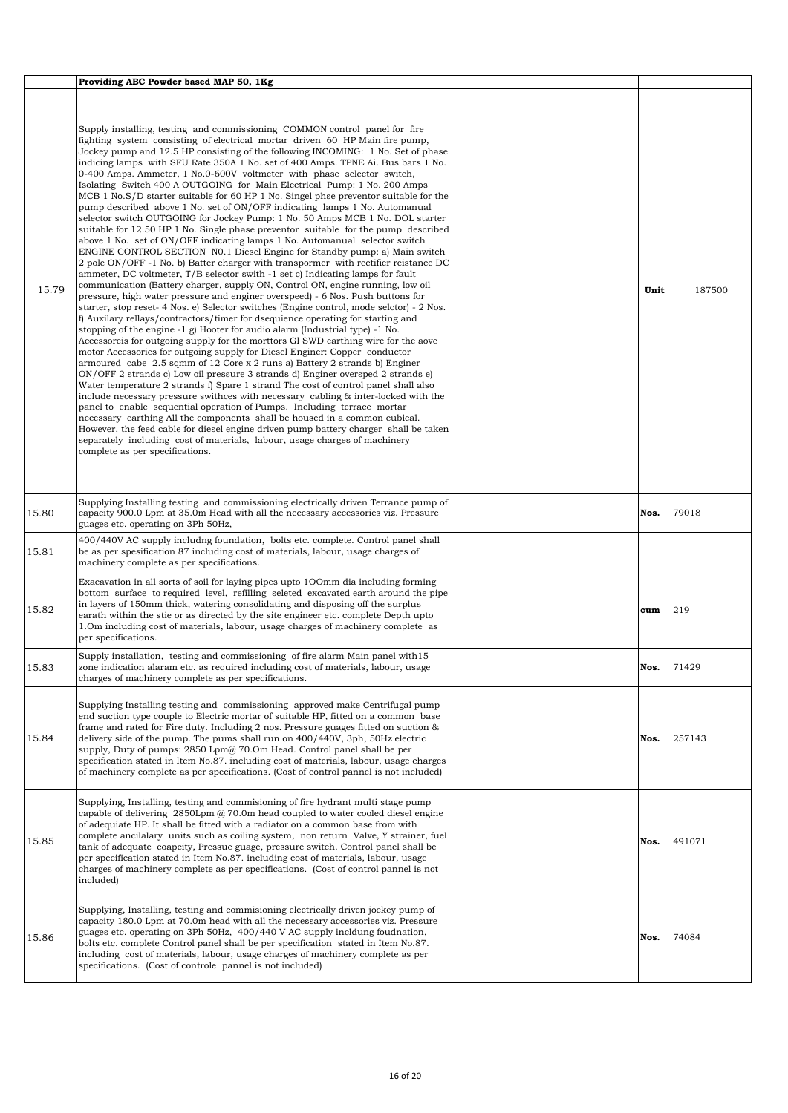|       | Providing ABC Powder based MAP 50, 1Kg                                                                                                                                                                                                                                                                                                                                                                                                                                                                                                                                                                                                                                                                                                                                                                                                                                                                                                                                                                                                                                                                                                                                                                                                                                                                                                                                                                                                                                                                                                                                                                                                                                                                                                                                                                                                                                                                                                                                                                                                                                                                                                                                                                                                                                                                                                                                                                                                                                                                  |      |        |
|-------|---------------------------------------------------------------------------------------------------------------------------------------------------------------------------------------------------------------------------------------------------------------------------------------------------------------------------------------------------------------------------------------------------------------------------------------------------------------------------------------------------------------------------------------------------------------------------------------------------------------------------------------------------------------------------------------------------------------------------------------------------------------------------------------------------------------------------------------------------------------------------------------------------------------------------------------------------------------------------------------------------------------------------------------------------------------------------------------------------------------------------------------------------------------------------------------------------------------------------------------------------------------------------------------------------------------------------------------------------------------------------------------------------------------------------------------------------------------------------------------------------------------------------------------------------------------------------------------------------------------------------------------------------------------------------------------------------------------------------------------------------------------------------------------------------------------------------------------------------------------------------------------------------------------------------------------------------------------------------------------------------------------------------------------------------------------------------------------------------------------------------------------------------------------------------------------------------------------------------------------------------------------------------------------------------------------------------------------------------------------------------------------------------------------------------------------------------------------------------------------------------------|------|--------|
| 15.79 | Supply installing, testing and commissioning COMMON control panel for fire<br>fighting system consisting of electrical mortar driven 60 HP Main fire pump,<br>Jockey pump and 12.5 HP consisting of the following INCOMING: 1 No. Set of phase<br>indicing lamps with SFU Rate 350A 1 No. set of 400 Amps. TPNE Ai. Bus bars 1 No.<br>0-400 Amps. Ammeter, 1 No.0-600V voltmeter with phase selector switch,<br>Isolating Switch 400 A OUTGOING for Main Electrical Pump: 1 No. 200 Amps<br>MCB 1 No.S/D starter suitable for 60 HP 1 No. Singel phse preventor suitable for the<br>pump described above 1 No. set of ON/OFF indicating lamps 1 No. Automanual<br>selector switch OUTGOING for Jockey Pump: 1 No. 50 Amps MCB 1 No. DOL starter<br>suitable for 12.50 HP 1 No. Single phase preventor suitable for the pump described<br>above 1 No. set of ON/OFF indicating lamps 1 No. Automanual selector switch<br>ENGINE CONTROL SECTION NO.1 Diesel Engine for Standby pump: a) Main switch<br>2 pole ON/OFF -1 No. b) Batter charger with transpormer with rectifier reistance DC<br>ammeter, DC voltmeter, T/B selector swith -1 set c) Indicating lamps for fault<br>communication (Battery charger, supply ON, Control ON, engine running, low oil<br>pressure, high water pressure and enginer overspeed) - 6 Nos. Push buttons for<br>starter, stop reset- 4 Nos. e) Selector switches (Engine control, mode selctor) - 2 Nos.<br>f) Auxilary rellays/contractors/timer for dsequience operating for starting and<br>stopping of the engine $-1$ g) Hooter for audio alarm (Industrial type) $-1$ No.<br>Accessoreis for outgoing supply for the morttors Gl SWD earthing wire for the aove<br>motor Accessories for outgoing supply for Diesel Enginer: Copper conductor<br>armoured cabe $2.5$ sqmm of 12 Core x 2 runs a) Battery 2 strands b) Enginer<br>ON/OFF 2 strands c) Low oil pressure 3 strands d) Enginer oversped 2 strands e)<br>Water temperature 2 strands f) Spare 1 strand The cost of control panel shall also<br>include necessary pressure swithces with necessary cabling & inter-locked with the<br>panel to enable sequential operation of Pumps. Including terrace mortar<br>necessary earthing All the components shall be housed in a common cubical.<br>However, the feed cable for diesel engine driven pump battery charger shall be taken<br>separately including cost of materials, labour, usage charges of machinery<br>complete as per specifications. | Unit | 187500 |
| 15.80 | Supplying Installing testing and commissioning electrically driven Terrance pump of<br>capacity 900.0 Lpm at 35.0m Head with all the necessary accessories viz. Pressure<br>guages etc. operating on 3Ph 50Hz,                                                                                                                                                                                                                                                                                                                                                                                                                                                                                                                                                                                                                                                                                                                                                                                                                                                                                                                                                                                                                                                                                                                                                                                                                                                                                                                                                                                                                                                                                                                                                                                                                                                                                                                                                                                                                                                                                                                                                                                                                                                                                                                                                                                                                                                                                          | Nos. | 79018  |
| 15.81 | 400/440V AC supply includng foundation, bolts etc. complete. Control panel shall<br>be as per spesification 87 including cost of materials, labour, usage charges of<br>machinery complete as per specifications.                                                                                                                                                                                                                                                                                                                                                                                                                                                                                                                                                                                                                                                                                                                                                                                                                                                                                                                                                                                                                                                                                                                                                                                                                                                                                                                                                                                                                                                                                                                                                                                                                                                                                                                                                                                                                                                                                                                                                                                                                                                                                                                                                                                                                                                                                       |      |        |
| 15.82 | Exacavation in all sorts of soil for laying pipes upto 100mm dia including forming<br>bottom surface to required level, refilling seleted excavated earth around the pipe<br>in layers of 150mm thick, watering consolidating and disposing off the surplus<br>earath within the stie or as directed by the site engineer etc. complete Depth upto<br>1.0m including cost of materials, labour, usage charges of machinery complete as<br>per specifications.                                                                                                                                                                                                                                                                                                                                                                                                                                                                                                                                                                                                                                                                                                                                                                                                                                                                                                                                                                                                                                                                                                                                                                                                                                                                                                                                                                                                                                                                                                                                                                                                                                                                                                                                                                                                                                                                                                                                                                                                                                           | cum  | 219    |
| 15.83 | Supply installation, testing and commissioning of fire alarm Main panel with 15<br>zone indication alaram etc. as required including cost of materials, labour, usage<br>charges of machinery complete as per specifications.                                                                                                                                                                                                                                                                                                                                                                                                                                                                                                                                                                                                                                                                                                                                                                                                                                                                                                                                                                                                                                                                                                                                                                                                                                                                                                                                                                                                                                                                                                                                                                                                                                                                                                                                                                                                                                                                                                                                                                                                                                                                                                                                                                                                                                                                           | Nos. | 71429  |
| 15.84 | Supplying Installing testing and commissioning approved make Centrifugal pump<br>end suction type couple to Electric mortar of suitable HP, fitted on a common base<br>frame and rated for Fire duty. Including 2 nos. Pressure guages fitted on suction &<br>delivery side of the pump. The pums shall run on 400/440V, 3ph, 50Hz electric<br>supply, Duty of pumps: 2850 Lpm@ 70.0m Head. Control panel shall be per<br>specification stated in Item No.87. including cost of materials, labour, usage charges<br>of machinery complete as per specifications. (Cost of control pannel is not included)                                                                                                                                                                                                                                                                                                                                                                                                                                                                                                                                                                                                                                                                                                                                                                                                                                                                                                                                                                                                                                                                                                                                                                                                                                                                                                                                                                                                                                                                                                                                                                                                                                                                                                                                                                                                                                                                                               | Nos. | 257143 |
| 15.85 | Supplying, Installing, testing and commisioning of fire hydrant multi stage pump<br>capable of delivering $2850$ Lpm $\omega$ 70.0m head coupled to water cooled diesel engine<br>of adequiate HP. It shall be fitted with a radiator on a common base from with<br>complete ancilalary units such as coiling system, non return Valve, Y strainer, fuel<br>tank of adequate coapcity, Pressue guage, pressure switch. Control panel shall be<br>per specification stated in Item No.87. including cost of materials, labour, usage<br>charges of machinery complete as per specifications. (Cost of control pannel is not<br>included)                                                                                                                                                                                                                                                                                                                                                                                                                                                                                                                                                                                                                                                                                                                                                                                                                                                                                                                                                                                                                                                                                                                                                                                                                                                                                                                                                                                                                                                                                                                                                                                                                                                                                                                                                                                                                                                                 | Nos. | 491071 |
| 15.86 | Supplying, Installing, testing and commisioning electrically driven jockey pump of<br>capacity 180.0 Lpm at 70.0m head with all the necessary accessories viz. Pressure<br>guages etc. operating on 3Ph 50Hz, 400/440 V AC supply incldung foudnation,<br>bolts etc. complete Control panel shall be per specification stated in Item No.87.<br>including cost of materials, labour, usage charges of machinery complete as per<br>specifications. (Cost of controle pannel is not included)                                                                                                                                                                                                                                                                                                                                                                                                                                                                                                                                                                                                                                                                                                                                                                                                                                                                                                                                                                                                                                                                                                                                                                                                                                                                                                                                                                                                                                                                                                                                                                                                                                                                                                                                                                                                                                                                                                                                                                                                            | Nos. | 74084  |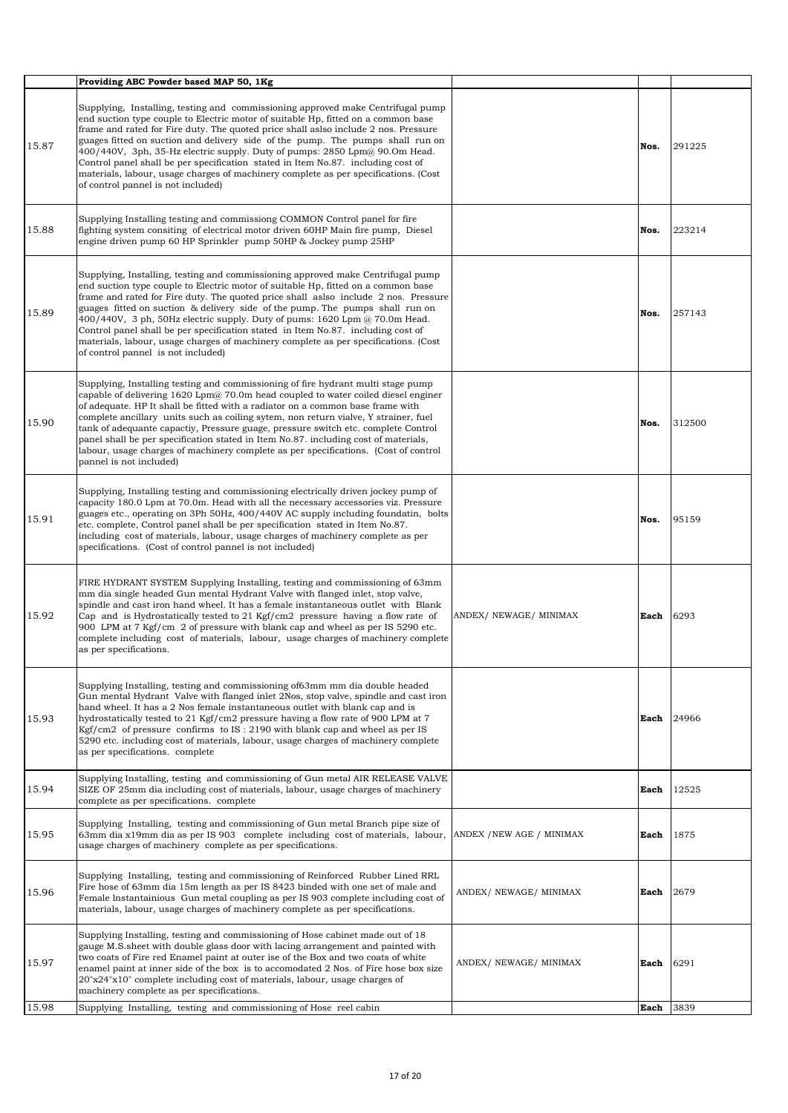|       | Providing ABC Powder based MAP 50, 1Kg                                                                                                                                                                                                                                                                                                                                                                                                                                                                                                                                                                                                              |                        |      |        |
|-------|-----------------------------------------------------------------------------------------------------------------------------------------------------------------------------------------------------------------------------------------------------------------------------------------------------------------------------------------------------------------------------------------------------------------------------------------------------------------------------------------------------------------------------------------------------------------------------------------------------------------------------------------------------|------------------------|------|--------|
| 15.87 | Supplying, Installing, testing and commissioning approved make Centrifugal pump<br>end suction type couple to Electric motor of suitable Hp, fitted on a common base<br>frame and rated for Fire duty. The quoted price shall aslso include 2 nos. Pressure<br>guages fitted on suction and delivery side of the pump. The pumps shall run on<br>400/440V, 3ph, 35-Hz electric supply. Duty of pumps: 2850 Lpm@ 90.0m Head.<br>Control panel shall be per specification stated in Item No.87. including cost of<br>materials, labour, usage charges of machinery complete as per specifications. (Cost<br>of control pannel is not included)        |                        | Nos. | 291225 |
| 15.88 | Supplying Installing testing and commissiong COMMON Control panel for fire<br>fighting system consiting of electrical motor driven 60HP Main fire pump, Diesel<br>engine driven pump 60 HP Sprinkler pump 50HP & Jockey pump 25HP                                                                                                                                                                                                                                                                                                                                                                                                                   |                        | Nos. | 223214 |
| 15.89 | Supplying, Installing, testing and commissioning approved make Centrifugal pump<br>end suction type couple to Electric motor of suitable Hp, fitted on a common base<br>frame and rated for Fire duty. The quoted price shall aslso include 2 nos. Pressure<br>guages fitted on suction & delivery side of the pump. The pumps shall run on<br>400/440V, 3 ph, 50Hz electric supply. Duty of pums: $1620$ Lpm $\omega$ 70.0m Head.<br>Control panel shall be per specification stated in Item No.87. including cost of<br>materials, labour, usage charges of machinery complete as per specifications. (Cost<br>of control pannel is not included) |                        | Nos. | 257143 |
| 15.90 | Supplying, Installing testing and commissioning of fire hydrant multi stage pump<br>capable of delivering $1620$ Lpm $@$ 70.0m head coupled to water coiled diesel enginer<br>of adequate. HP It shall be fitted with a radiator on a common base frame with<br>complete ancillary units such as coiling sytem, non return vialve, Y strainer, fuel<br>tank of adequante capactiy, Pressure guage, pressure switch etc. complete Control<br>panel shall be per specification stated in Item No.87. including cost of materials,<br>labour, usage charges of machinery complete as per specifications. (Cost of control<br>pannel is not included)   |                        | Nos. | 312500 |
| 15.91 | Supplying, Installing testing and commissioning electrically driven jockey pump of<br>capacity 180.0 Lpm at 70.0m. Head with all the necessary accessories viz. Pressure<br>guages etc., operating on 3Ph 50Hz, 400/440V AC supply including foundatin, bolts<br>etc. complete, Control panel shall be per specification stated in Item No.87.<br>including cost of materials, labour, usage charges of machinery complete as per<br>specifications. (Cost of control pannel is not included)                                                                                                                                                       |                        | Nos. | 95159  |
| 15.92 | FIRE HYDRANT SYSTEM Supplying Installing, testing and commissioning of 63mm<br>mm dia single headed Gun mental Hydrant Valve with flanged inlet, stop valve,<br>spindle and cast iron hand wheel. It has a female instantaneous outlet with Blank<br>Cap and is Hydrostatically tested to 21 Kgf/cm2 pressure having a flow rate of<br>900 LPM at 7 Kgf/cm 2 of pressure with blank cap and wheel as per IS 5290 etc.<br>complete including cost of materials, labour, usage charges of machinery complete<br>as per specifications.                                                                                                                | ANDEX/ NEWAGE/ MINIMAX | Each | 6293   |
| 15.93 | Supplying Installing, testing and commissioning of 63mm mm dia double headed<br>Gun mental Hydrant Valve with flanged inlet 2Nos, stop valve, spindle and cast iron<br>hand wheel. It has a 2 Nos female instantaneous outlet with blank cap and is<br>hydrostatically tested to 21 Kgf/cm2 pressure having a flow rate of 900 LPM at 7<br>Kgf/cm2 of pressure confirms to $IS: 2190$ with blank cap and wheel as per IS<br>5290 etc. including cost of materials, labour, usage charges of machinery complete<br>as per specifications. complete                                                                                                   |                        | Each | 24966  |
| 15.94 | Supplying Installing, testing and commissioning of Gun metal AIR RELEASE VALVE<br>SIZE OF 25mm dia including cost of materials, labour, usage charges of machinery<br>complete as per specifications. complete                                                                                                                                                                                                                                                                                                                                                                                                                                      |                        | Each | 12525  |
| 15.95 | Supplying Installing, testing and commissioning of Gun metal Branch pipe size of<br>63mm dia x19mm dia as per IS 903 complete including cost of materials, labour, ANDEX /NEW AGE / MINIMAX<br>usage charges of machinery complete as per specifications.                                                                                                                                                                                                                                                                                                                                                                                           |                        | Each | 1875   |
| 15.96 | Supplying Installing, testing and commissioning of Reinforced Rubber Lined RRL<br>Fire hose of 63mm dia 15m length as per IS 8423 binded with one set of male and<br>Female Instantainious Gun metal coupling as per IS 903 complete including cost of<br>materials, labour, usage charges of machinery complete as per specifications.                                                                                                                                                                                                                                                                                                             | ANDEX/ NEWAGE/ MINIMAX | Each | 2679   |
| 15.97 | Supplying Installing, testing and commissioning of Hose cabinet made out of 18<br>gauge M.S. sheet with double glass door with lacing arrangement and painted with<br>two coats of Fire red Enamel paint at outer ise of the Box and two coats of white<br>enamel paint at inner side of the box is to accomodated 2 Nos. of Fire hose box size<br>20"x24"x10" complete including cost of materials, labour, usage charges of<br>machinery complete as per specifications.                                                                                                                                                                          | ANDEX/ NEWAGE/ MINIMAX | Each | 6291   |
| 15.98 | Supplying Installing, testing and commissioning of Hose reel cabin                                                                                                                                                                                                                                                                                                                                                                                                                                                                                                                                                                                  |                        | Each | 3839   |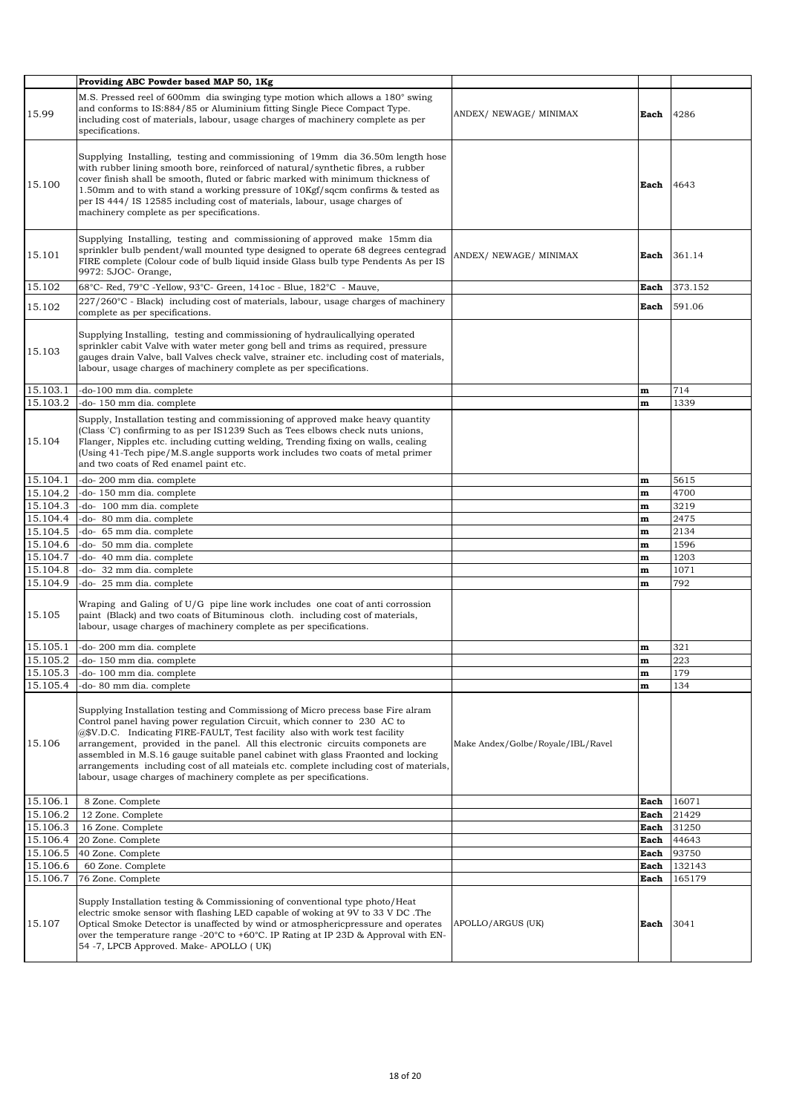|          | Providing ABC Powder based MAP 50, 1Kg                                                                                                                                                                                                                                                                                                                                                                                                                                                                                                                                           |                                   |              |         |
|----------|----------------------------------------------------------------------------------------------------------------------------------------------------------------------------------------------------------------------------------------------------------------------------------------------------------------------------------------------------------------------------------------------------------------------------------------------------------------------------------------------------------------------------------------------------------------------------------|-----------------------------------|--------------|---------|
| 15.99    | M.S. Pressed reel of 600mm dia swinging type motion which allows a 180° swing<br>and conforms to IS:884/85 or Aluminium fitting Single Piece Compact Type.<br>including cost of materials, labour, usage charges of machinery complete as per<br>specifications.                                                                                                                                                                                                                                                                                                                 | ANDEX/ NEWAGE/ MINIMAX            | Each         | 4286    |
| 15.100   | Supplying Installing, testing and commissioning of 19mm dia 36.50m length hose<br>with rubber lining smooth bore, reinforced of natural/synthetic fibres, a rubber<br>cover finish shall be smooth, fluted or fabric marked with minimum thickness of<br>1.50mm and to with stand a working pressure of 10Kgf/sqcm confirms & tested as<br>per IS 444/ IS 12585 including cost of materials, labour, usage charges of<br>machinery complete as per specifications.                                                                                                               |                                   | Each         | 4643    |
| 15.101   | Supplying Installing, testing and commissioning of approved make 15mm dia<br>sprinkler bulb pendent/wall mounted type designed to operate 68 degrees centegrad<br>FIRE complete (Colour code of bulb liquid inside Glass bulb type Pendents As per IS<br>9972: 5JOC- Orange,                                                                                                                                                                                                                                                                                                     | ANDEX/ NEWAGE/ MINIMAX            | Each         | 361.14  |
| 15.102   | 68°C- Red, 79°C - Yellow, 93°C- Green, 141oc - Blue, 182°C - Mauve,                                                                                                                                                                                                                                                                                                                                                                                                                                                                                                              |                                   | Each         | 373.152 |
| 15.102   | $227/260^{\circ}$ C - Black) including cost of materials, labour, usage charges of machinery<br>complete as per specifications.                                                                                                                                                                                                                                                                                                                                                                                                                                                  |                                   | Each         | 591.06  |
| 15.103   | Supplying Installing, testing and commissioning of hydraulicallying operated<br>sprinkler cabit Valve with water meter gong bell and trims as required, pressure<br>gauges drain Valve, ball Valves check valve, strainer etc. including cost of materials,<br>labour, usage charges of machinery complete as per specifications.                                                                                                                                                                                                                                                |                                   |              |         |
| 15.103.1 | -do-100 mm dia. complete                                                                                                                                                                                                                                                                                                                                                                                                                                                                                                                                                         |                                   | m            | 714     |
| 15.103.2 | -do- 150 mm dia. complete                                                                                                                                                                                                                                                                                                                                                                                                                                                                                                                                                        |                                   | $\mathbf{m}$ | 1339    |
| 15.104   | Supply, Installation testing and commissioning of approved make heavy quantity<br>(Class 'C') confirming to as per IS1239 Such as Tees elbows check nuts unions,<br>Flanger, Nipples etc. including cutting welding, Trending fixing on walls, cealing<br>(Using 41-Tech pipe/M.S.angle supports work includes two coats of metal primer<br>and two coats of Red enamel paint etc.                                                                                                                                                                                               |                                   |              |         |
| 15.104.1 | -do- 200 mm dia. complete                                                                                                                                                                                                                                                                                                                                                                                                                                                                                                                                                        |                                   | $\mathbf m$  | 5615    |
| 15.104.2 | -do-150 mm dia. complete                                                                                                                                                                                                                                                                                                                                                                                                                                                                                                                                                         |                                   | $\mathbf m$  | 4700    |
| 15.104.3 | -do- 100 mm dia. complete                                                                                                                                                                                                                                                                                                                                                                                                                                                                                                                                                        |                                   | $\mathbf{m}$ | 3219    |
| 15.104.4 | -do- 80 mm dia. complete                                                                                                                                                                                                                                                                                                                                                                                                                                                                                                                                                         |                                   | $\mathbf m$  | 2475    |
| 15.104.5 | -do- 65 mm dia. complete                                                                                                                                                                                                                                                                                                                                                                                                                                                                                                                                                         |                                   | $\mathbf m$  | 2134    |
| 15.104.6 | -do- 50 mm dia. complete                                                                                                                                                                                                                                                                                                                                                                                                                                                                                                                                                         |                                   | $\mathbf m$  | 1596    |
| 15.104.7 | -do- 40 mm dia. complete                                                                                                                                                                                                                                                                                                                                                                                                                                                                                                                                                         |                                   | $\mathbf m$  | 1203    |
| 15.104.8 | -do- 32 mm dia. complete                                                                                                                                                                                                                                                                                                                                                                                                                                                                                                                                                         |                                   | $\mathbf m$  | 1071    |
| 15.104.9 | $-$ do- 25 mm dia. complete                                                                                                                                                                                                                                                                                                                                                                                                                                                                                                                                                      |                                   | $\mathbf m$  | 792     |
|          |                                                                                                                                                                                                                                                                                                                                                                                                                                                                                                                                                                                  |                                   |              |         |
| 15.105   | Wraping and Galing of $U/G$ pipe line work includes one coat of anti-corrossion<br>paint (Black) and two coats of Bituminous cloth. including cost of materials,<br>labour, usage charges of machinery complete as per specifications.                                                                                                                                                                                                                                                                                                                                           |                                   |              |         |
| 15.105.1 | -do- 200 mm dia. complete                                                                                                                                                                                                                                                                                                                                                                                                                                                                                                                                                        |                                   | m            | 321     |
| 15.105.2 | -do- 150 mm dia. complete                                                                                                                                                                                                                                                                                                                                                                                                                                                                                                                                                        |                                   | $\mathbf{m}$ | 223     |
| 15.105.3 | -do- 100 mm dia. complete                                                                                                                                                                                                                                                                                                                                                                                                                                                                                                                                                        |                                   | $\mathbf m$  | 179     |
| 15.105.4 | -do- 80 mm dia, complete                                                                                                                                                                                                                                                                                                                                                                                                                                                                                                                                                         |                                   | $\mathbf m$  | 134     |
| 15.106   | Supplying Installation testing and Commissiong of Micro precess base Fire alram<br>Control panel having power regulation Circuit, which conner to 230 AC to<br>@\$V.D.C. Indicating FIRE-FAULT, Test facility also with work test facility<br>arrangement, provided in the panel. All this electronic circuits componets are<br>assembled in M.S.16 gauge suitable panel cabinet with glass Fraonted and locking<br>arrangements including cost of all mateials etc. complete including cost of materials,<br>labour, usage charges of machinery complete as per specifications. | Make Andex/Golbe/Royale/IBL/Ravel |              |         |
| 15.106.1 | 8 Zone. Complete                                                                                                                                                                                                                                                                                                                                                                                                                                                                                                                                                                 |                                   | Each         | 16071   |
| 15.106.2 | 12 Zone. Complete                                                                                                                                                                                                                                                                                                                                                                                                                                                                                                                                                                |                                   | Each         | 21429   |
| 15.106.3 | 16 Zone. Complete                                                                                                                                                                                                                                                                                                                                                                                                                                                                                                                                                                |                                   | Each         | 31250   |
| 15.106.4 | 20 Zone. Complete                                                                                                                                                                                                                                                                                                                                                                                                                                                                                                                                                                |                                   | Each         | 44643   |
| 15.106.5 | 40 Zone. Complete                                                                                                                                                                                                                                                                                                                                                                                                                                                                                                                                                                |                                   | Each         | 93750   |
| 15.106.6 | 60 Zone. Complete                                                                                                                                                                                                                                                                                                                                                                                                                                                                                                                                                                |                                   | Each         | 132143  |
| 15.106.7 | 76 Zone. Complete                                                                                                                                                                                                                                                                                                                                                                                                                                                                                                                                                                |                                   | Each         | 165179  |
| 15.107   | Supply Installation testing & Commissioning of conventional type photo/Heat<br>electric smoke sensor with flashing LED capable of woking at 9V to 33 V DC .The<br>Optical Smoke Detector is unaffected by wind or atmospheric pressure and operates<br>over the temperature range -20°C to +60°C. IP Rating at IP 23D & Approval with EN-<br>54 -7, LPCB Approved. Make-APOLLO (UK)                                                                                                                                                                                              | APOLLO/ARGUS (UK)                 | Each         | 3041    |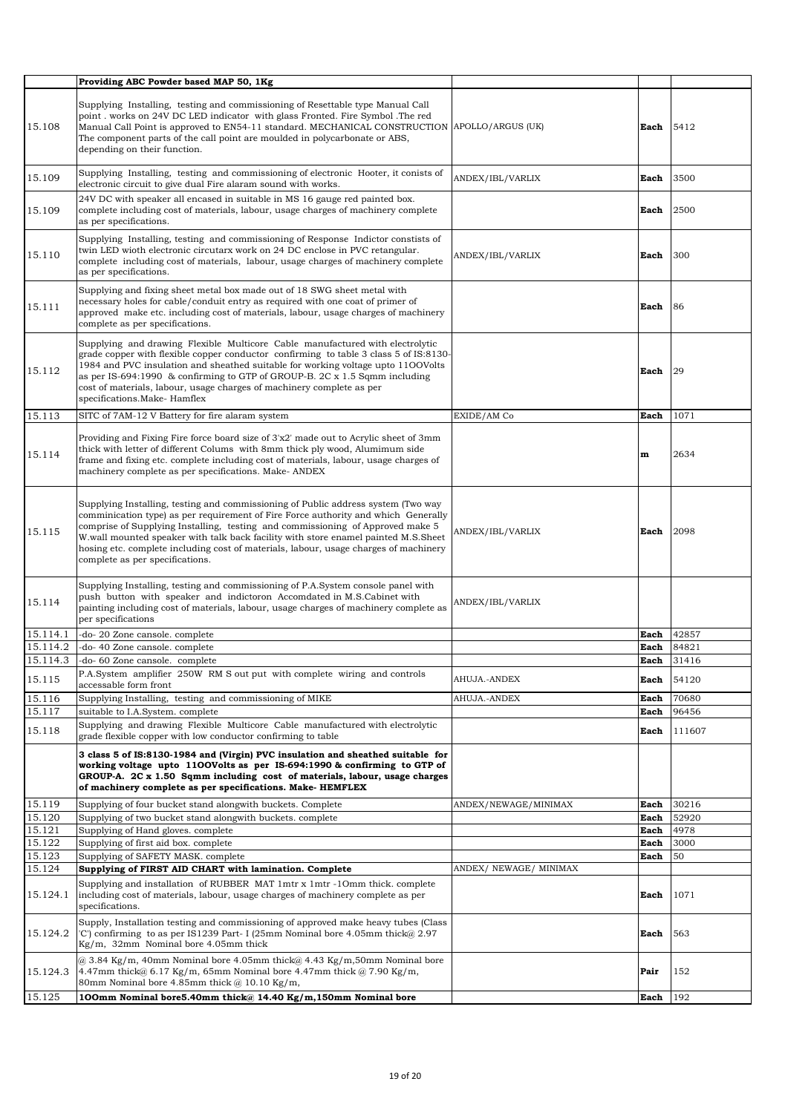|                    | Providing ABC Powder based MAP 50, 1Kg                                                                                                                                                                                                                                                                                                                                                                                                                                     |                        |                     |                |
|--------------------|----------------------------------------------------------------------------------------------------------------------------------------------------------------------------------------------------------------------------------------------------------------------------------------------------------------------------------------------------------------------------------------------------------------------------------------------------------------------------|------------------------|---------------------|----------------|
| 15.108             | Supplying Installing, testing and commissioning of Resettable type Manual Call<br>point . works on 24V DC LED indicator with glass Fronted. Fire Symbol .The red<br>Manual Call Point is approved to EN54-11 standard. MECHANICAL CONSTRUCTION APOLLO/ARGUS (UK)<br>The component parts of the call point are moulded in polycarbonate or ABS,<br>depending on their function.                                                                                             |                        | Each                | 5412           |
| 15.109             | Supplying Installing, testing and commissioning of electronic Hooter, it conists of<br>electronic circuit to give dual Fire alaram sound with works.                                                                                                                                                                                                                                                                                                                       | ANDEX/IBL/VARLIX       | Each                | 3500           |
| 15.109             | 24V DC with speaker all encased in suitable in MS 16 gauge red painted box.<br>complete including cost of materials, labour, usage charges of machinery complete<br>as per specifications.                                                                                                                                                                                                                                                                                 |                        | Each                | 2500           |
| 15.110             | Supplying Installing, testing and commissioning of Response Indictor constists of<br>twin LED wisth electronic circutarx work on 24 DC enclose in PVC retangular.<br>complete including cost of materials, labour, usage charges of machinery complete<br>as per specifications.                                                                                                                                                                                           | ANDEX/IBL/VARLIX       | Each                | 300            |
| 15.111             | Supplying and fixing sheet metal box made out of 18 SWG sheet metal with<br>necessary holes for cable/conduit entry as required with one coat of primer of<br>approved make etc. including cost of materials, labour, usage charges of machinery<br>complete as per specifications.                                                                                                                                                                                        |                        | Each                | 86             |
| 15.112             | Supplying and drawing Flexible Multicore Cable manufactured with electrolytic<br>grade copper with flexible copper conductor confirming to table 3 class 5 of IS:8130-<br>1984 and PVC insulation and sheathed suitable for working voltage upto 11OOVolts<br>as per IS-694:1990 & confirming to GTP of GROUP-B, $2C \times 1.5$ Sqmm including<br>cost of materials, labour, usage charges of machinery complete as per<br>specifications.Make-Hamflex                    |                        | Each                | 29             |
| 15.113             | SITC of 7AM-12 V Battery for fire alaram system                                                                                                                                                                                                                                                                                                                                                                                                                            | EXIDE/AM Co            | Each                | 1071           |
| 15.114             | Providing and Fixing Fire force board size of 3'x2' made out to Acrylic sheet of 3mm<br>thick with letter of different Colums with 8mm thick ply wood, Alumimum side<br>frame and fixing etc. complete including cost of materials, labour, usage charges of<br>machinery complete as per specifications. Make- ANDEX                                                                                                                                                      |                        | $\mathbf{m}$        | 2634           |
| 15.115             | Supplying Installing, testing and commissioning of Public address system (Two way<br>comminication type) as per requirement of Fire Force authority and which Generally<br>comprise of Supplying Installing, testing and commissioning of Approved make 5<br>W.wall mounted speaker with talk back facility with store enamel painted M.S.Sheet<br>hosing etc. complete including cost of materials, labour, usage charges of machinery<br>complete as per specifications. | ANDEX/IBL/VARLIX       | Each                | 2098           |
| 15.114             | Supplying Installing, testing and commissioning of P.A.System console panel with<br>push button with speaker and indictoron Accomdated in M.S.Cabinet with<br>painting including cost of materials, labour, usage charges of machinery complete as<br>per specifications                                                                                                                                                                                                   | ANDEX/IBL/VARLIX       |                     |                |
| 15.114.1           | -do- 20 Zone cansole. complete                                                                                                                                                                                                                                                                                                                                                                                                                                             |                        | Each                | 42857          |
| 15.114.2           | -do- 40 Zone cansole. complete                                                                                                                                                                                                                                                                                                                                                                                                                                             |                        | Each                | 84821          |
| 15.114.3<br>15.115 | -do- 60 Zone cansole, complete<br>P.A.System amplifier 250W RM S out put with complete wiring and controls                                                                                                                                                                                                                                                                                                                                                                 | AHUJA.-ANDEX           | Each<br><b>Each</b> | 31416<br>54120 |
| 15.116             | accessable form front<br>Supplying Installing, testing and commissioning of MIKE                                                                                                                                                                                                                                                                                                                                                                                           | AHUJA.-ANDEX           | Each                | 70680          |
| 15.117             | suitable to I.A.System. complete                                                                                                                                                                                                                                                                                                                                                                                                                                           |                        | Each                | 96456          |
| 15.118             | Supplying and drawing Flexible Multicore Cable manufactured with electrolytic<br>grade flexible copper with low conductor confirming to table                                                                                                                                                                                                                                                                                                                              |                        | Each                | 111607         |
|                    | 3 class 5 of IS:8130-1984 and (Virgin) PVC insulation and sheathed suitable for<br>working voltage upto 1100Volts as per IS-694:1990 & confirming to GTP of<br>GROUP-A. 2C x 1.50 Sqmm including cost of materials, labour, usage charges<br>of machinery complete as per specifications. Make- HEMFLEX                                                                                                                                                                    |                        |                     |                |
| 15.119             | Supplying of four bucket stand alongwith buckets. Complete                                                                                                                                                                                                                                                                                                                                                                                                                 | ANDEX/NEWAGE/MINIMAX   | Each                | 30216          |
| 15.120             | Supplying of two bucket stand alongwith buckets. complete                                                                                                                                                                                                                                                                                                                                                                                                                  |                        | Each                | 52920          |
| 15.121<br>15.122   | Supplying of Hand gloves. complete<br>Supplying of first aid box. complete                                                                                                                                                                                                                                                                                                                                                                                                 |                        | Each<br>Each        | 4978<br>3000   |
| 15.123             | Supplying of SAFETY MASK, complete                                                                                                                                                                                                                                                                                                                                                                                                                                         |                        | Each                | 50             |
| 15.124             | Supplying of FIRST AID CHART with lamination. Complete                                                                                                                                                                                                                                                                                                                                                                                                                     | ANDEX/ NEWAGE/ MINIMAX |                     |                |
| 15.124.1           | Supplying and installation of RUBBER MAT 1mtr x 1mtr -10mm thick. complete<br>including cost of materials, labour, usage charges of machinery complete as per<br>specifications.                                                                                                                                                                                                                                                                                           |                        | Each                | 1071           |
| 15.124.2           | Supply, Installation testing and commissioning of approved make heavy tubes (Class<br>$\vert$ C') confirming to as per IS1239 Part-I (25mm Nominal bore 4.05mm thick $\omega$ 2.97<br>$Kg/m$ , 32mm Nominal bore 4.05mm thick                                                                                                                                                                                                                                              |                        | Each                | 563            |
| 15.124.3           | @ 3.84 Kg/m, 40mm Nominal bore 4.05mm thick@ 4.43 Kg/m,50mm Nominal bore<br>4.47mm thick@ 6.17 Kg/m, 65mm Nominal bore 4.47mm thick @ 7.90 Kg/m,<br>80mm Nominal bore 4.85mm thick $@10.10$ Kg/m,                                                                                                                                                                                                                                                                          |                        | Pair                | 152            |
| 15.125             | 100mm Nominal bore5.40mm thick@ 14.40 Kg/m,150mm Nominal bore                                                                                                                                                                                                                                                                                                                                                                                                              |                        | Each                | 192            |